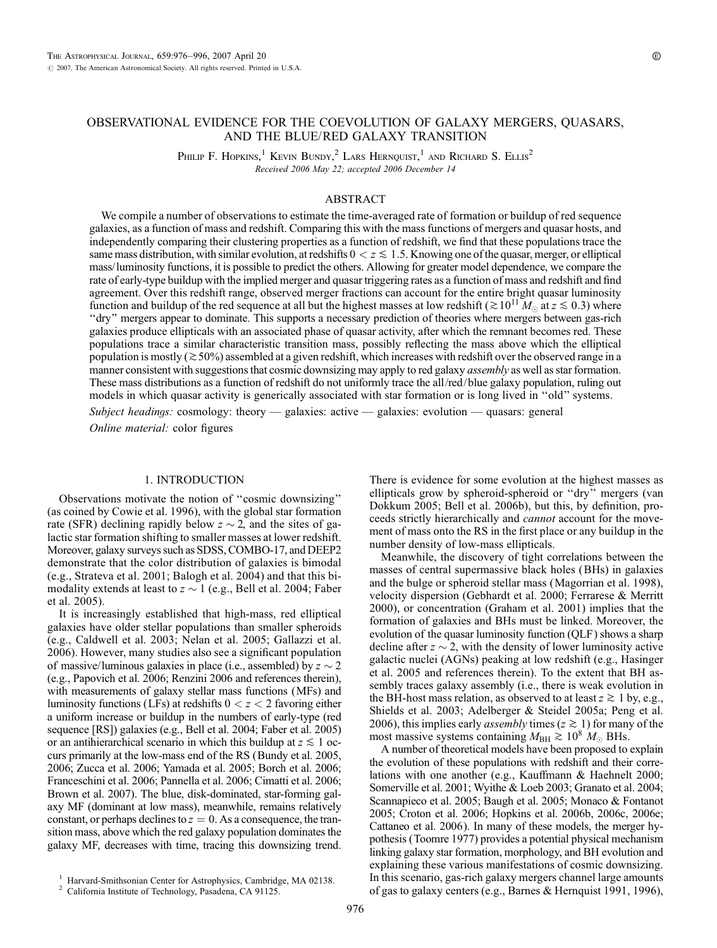# OBSERVATIONAL EVIDENCE FOR THE COEVOLUTION OF GALAXY MERGERS, QUASARS, AND THE BLUE/RED GALAXY TRANSITION

PHILIP F. HOPKINS,<sup>1</sup> KEVIN BUNDY,<sup>2</sup> LARS HERNQUIST,<sup>1</sup> AND RICHARD S. ELLIS<sup>2</sup> Received 2006 May 22; accepted 2006 December 14

# ABSTRACT

We compile a number of observations to estimate the time-averaged rate of formation or buildup of red sequence galaxies, as a function of mass and redshift. Comparing this with the mass functions of mergers and quasar hosts, and independently comparing their clustering properties as a function of redshift, we find that these populations trace the same mass distribution, with similar evolution, at redshifts  $0 < z \le 1.5$ . Knowing one of the quasar, merger, or elliptical mass/luminosity functions, it is possible to predict the others. Allowing for greater model dependence, we compare the rate of early-type buildup with the implied merger and quasar triggering rates as a function of mass and redshift and find agreement. Over this redshift range, observed merger fractions can account for the entire bright quasar luminosity function and buildup of the red sequence at all but the highest masses at low redshift ( $\gtrsim 10^{11} M_{\odot}$  at  $z \lesssim 0.3$ ) where ''dry'' mergers appear to dominate. This supports a necessary prediction of theories where mergers between gas-rich galaxies produce ellipticals with an associated phase of quasar activity, after which the remnant becomes red. These populations trace a similar characteristic transition mass, possibly reflecting the mass above which the elliptical population is mostly ( $\approx$  50%) assembled at a given redshift, which increases with redshift over the observed range in a manner consistent with suggestions that cosmic downsizing may apply to red galaxy *assembly* as well as star formation. These mass distributions as a function of redshift do not uniformly trace the all/red/blue galaxy population, ruling out models in which quasar activity is generically associated with star formation or is long lived in ''old'' systems.

Subject headings: cosmology: theory — galaxies: active — galaxies: evolution — quasars: general Online material: color figures

## 1. INTRODUCTION

Observations motivate the notion of ''cosmic downsizing'' (as coined by Cowie et al. 1996), with the global star formation rate (SFR) declining rapidly below  $z \sim 2$ , and the sites of galactic star formation shifting to smaller masses at lower redshift. Moreover, galaxy surveys such as SDSS, COMBO-17, and DEEP2 demonstrate that the color distribution of galaxies is bimodal (e.g., Strateva et al. 2001; Balogh et al. 2004) and that this bimodality extends at least to  $z \sim 1$  (e.g., Bell et al. 2004; Faber et al. 2005).

It is increasingly established that high-mass, red elliptical galaxies have older stellar populations than smaller spheroids (e.g., Caldwell et al. 2003; Nelan et al. 2005; Gallazzi et al. 2006). However, many studies also see a significant population of massive/luminous galaxies in place (i.e., assembled) by  $z \sim 2$ (e.g., Papovich et al. 2006; Renzini 2006 and references therein), with measurements of galaxy stellar mass functions (MFs) and luminosity functions (LFs) at redshifts  $0 < z < 2$  favoring either a uniform increase or buildup in the numbers of early-type (red sequence [RS]) galaxies (e.g., Bell et al. 2004; Faber et al. 2005) or an antihierarchical scenario in which this buildup at  $z \leq 1$  occurs primarily at the low-mass end of the RS (Bundy et al. 2005, 2006; Zucca et al. 2006; Yamada et al. 2005; Borch et al. 2006; Franceschini et al. 2006; Pannella et al. 2006; Cimatti et al. 2006; Brown et al. 2007). The blue, disk-dominated, star-forming galaxy MF (dominant at low mass), meanwhile, remains relatively constant, or perhaps declines to  $z = 0$ . As a consequence, the transition mass, above which the red galaxy population dominates the galaxy MF, decreases with time, tracing this downsizing trend.

There is evidence for some evolution at the highest masses as ellipticals grow by spheroid-spheroid or ''dry'' mergers (van Dokkum 2005; Bell et al. 2006b), but this, by definition, proceeds strictly hierarchically and cannot account for the movement of mass onto the RS in the first place or any buildup in the number density of low-mass ellipticals.

Meanwhile, the discovery of tight correlations between the masses of central supermassive black holes (BHs) in galaxies and the bulge or spheroid stellar mass (Magorrian et al. 1998), velocity dispersion (Gebhardt et al. 2000; Ferrarese & Merritt 2000), or concentration (Graham et al. 2001) implies that the formation of galaxies and BHs must be linked. Moreover, the evolution of the quasar luminosity function (QLF) shows a sharp decline after  $z \sim 2$ , with the density of lower luminosity active galactic nuclei (AGNs) peaking at low redshift (e.g., Hasinger et al. 2005 and references therein). To the extent that BH assembly traces galaxy assembly (i.e., there is weak evolution in the BH-host mass relation, as observed to at least  $z \ge 1$  by, e.g., Shields et al. 2003; Adelberger & Steidel 2005a; Peng et al. 2006), this implies early *assembly* times ( $z \ge 1$ ) for many of the most massive systems containing  $M_{\text{BH}} \gtrsim 10^8 M_{\odot}$  BHs.

A number of theoretical models have been proposed to explain the evolution of these populations with redshift and their correlations with one another (e.g., Kauffmann & Haehnelt 2000; Somerville et al. 2001; Wyithe & Loeb 2003; Granato et al. 2004; Scannapieco et al. 2005; Baugh et al. 2005; Monaco & Fontanot 2005; Croton et al. 2006; Hopkins et al. 2006b, 2006c, 2006e; Cattaneo et al. 2006). In many of these models, the merger hypothesis (Toomre 1977) provides a potential physical mechanism linking galaxy star formation, morphology, and BH evolution and explaining these various manifestations of cosmic downsizing. In this scenario, gas-rich galaxy mergers channel large amounts of gas to galaxy centers (e.g., Barnes & Hernquist 1991, 1996),

<sup>&</sup>lt;sup>1</sup> Harvard-Smithsonian Center for Astrophysics, Cambridge, MA 02138.<br><sup>2</sup> California Institute of Technology, Pasadena, CA 91125.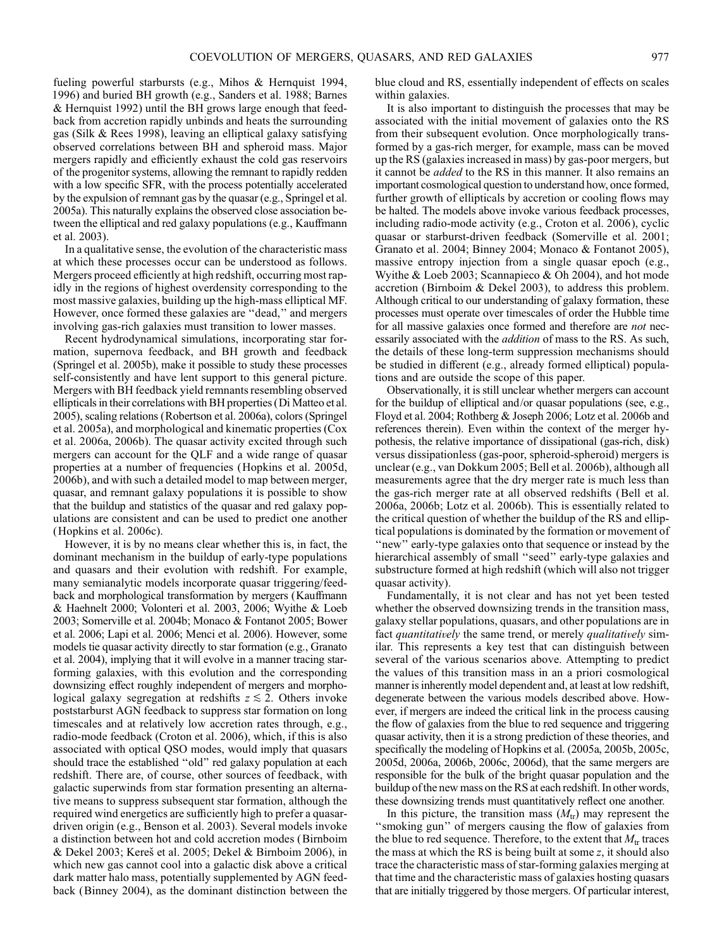fueling powerful starbursts (e.g., Mihos & Hernquist 1994, 1996) and buried BH growth (e.g., Sanders et al. 1988; Barnes & Hernquist 1992) until the BH grows large enough that feedback from accretion rapidly unbinds and heats the surrounding gas (Silk & Rees 1998), leaving an elliptical galaxy satisfying observed correlations between BH and spheroid mass. Major mergers rapidly and efficiently exhaust the cold gas reservoirs of the progenitor systems, allowing the remnant to rapidly redden with a low specific SFR, with the process potentially accelerated by the expulsion of remnant gas by the quasar (e.g., Springel et al. 2005a). This naturally explains the observed close association between the elliptical and red galaxy populations (e.g., Kauffmann et al. 2003).

In a qualitative sense, the evolution of the characteristic mass at which these processes occur can be understood as follows. Mergers proceed efficiently at high redshift, occurring most rapidly in the regions of highest overdensity corresponding to the most massive galaxies, building up the high-mass elliptical MF. However, once formed these galaxies are ''dead,'' and mergers involving gas-rich galaxies must transition to lower masses.

Recent hydrodynamical simulations, incorporating star formation, supernova feedback, and BH growth and feedback (Springel et al. 2005b), make it possible to study these processes self-consistently and have lent support to this general picture. Mergers with BH feedback yield remnants resembling observed ellipticals in their correlations with BH properties (Di Matteo et al. 2005), scaling relations (Robertson et al. 2006a), colors (Springel et al. 2005a), and morphological and kinematic properties (Cox et al. 2006a, 2006b). The quasar activity excited through such mergers can account for the QLF and a wide range of quasar properties at a number of frequencies (Hopkins et al. 2005d, 2006b), and with such a detailed model to map between merger, quasar, and remnant galaxy populations it is possible to show that the buildup and statistics of the quasar and red galaxy populations are consistent and can be used to predict one another (Hopkins et al. 2006c).

However, it is by no means clear whether this is, in fact, the dominant mechanism in the buildup of early-type populations and quasars and their evolution with redshift. For example, many semianalytic models incorporate quasar triggering/feedback and morphological transformation by mergers (Kauffmann & Haehnelt 2000; Volonteri et al. 2003, 2006; Wyithe & Loeb 2003; Somerville et al. 2004b; Monaco & Fontanot 2005; Bower et al. 2006; Lapi et al. 2006; Menci et al. 2006). However, some models tie quasar activity directly to star formation (e.g., Granato et al. 2004), implying that it will evolve in a manner tracing starforming galaxies, with this evolution and the corresponding downsizing effect roughly independent of mergers and morphological galaxy segregation at redshifts  $z \lesssim 2$ . Others invoke poststarburst AGN feedback to suppress star formation on long timescales and at relatively low accretion rates through, e.g., radio-mode feedback (Croton et al. 2006), which, if this is also associated with optical QSO modes, would imply that quasars should trace the established ''old'' red galaxy population at each redshift. There are, of course, other sources of feedback, with galactic superwinds from star formation presenting an alternative means to suppress subsequent star formation, although the required wind energetics are sufficiently high to prefer a quasardriven origin (e.g., Benson et al. 2003). Several models invoke a distinction between hot and cold accretion modes (Birnboim  $&$  Dekel 2003; Kereš et al. 2005; Dekel  $&$  Birnboim 2006), in which new gas cannot cool into a galactic disk above a critical dark matter halo mass, potentially supplemented by AGN feedback (Binney 2004), as the dominant distinction between the blue cloud and RS, essentially independent of effects on scales within galaxies.

It is also important to distinguish the processes that may be associated with the initial movement of galaxies onto the RS from their subsequent evolution. Once morphologically transformed by a gas-rich merger, for example, mass can be moved up the RS (galaxies increased in mass) by gas-poor mergers, but it cannot be added to the RS in this manner. It also remains an important cosmological question to understand how, once formed, further growth of ellipticals by accretion or cooling flows may be halted. The models above invoke various feedback processes, including radio-mode activity (e.g., Croton et al. 2006), cyclic quasar or starburst-driven feedback (Somerville et al. 2001; Granato et al. 2004; Binney 2004; Monaco & Fontanot 2005), massive entropy injection from a single quasar epoch (e.g., Wyithe & Loeb 2003; Scannapieco & Oh 2004), and hot mode accretion (Birnboim & Dekel 2003), to address this problem. Although critical to our understanding of galaxy formation, these processes must operate over timescales of order the Hubble time for all massive galaxies once formed and therefore are *not* necessarily associated with the *addition* of mass to the RS. As such, the details of these long-term suppression mechanisms should be studied in different (e.g., already formed elliptical) populations and are outside the scope of this paper.

Observationally, it is still unclear whether mergers can account for the buildup of elliptical and/or quasar populations (see, e.g., Floyd et al. 2004; Rothberg & Joseph 2006; Lotz et al. 2006b and references therein). Even within the context of the merger hypothesis, the relative importance of dissipational (gas-rich, disk) versus dissipationless (gas-poor, spheroid-spheroid) mergers is unclear (e.g., van Dokkum 2005; Bell et al. 2006b), although all measurements agree that the dry merger rate is much less than the gas-rich merger rate at all observed redshifts (Bell et al. 2006a, 2006b; Lotz et al. 2006b). This is essentially related to the critical question of whether the buildup of the RS and elliptical populations is dominated by the formation or movement of "new" early-type galaxies onto that sequence or instead by the hierarchical assembly of small "seed" early-type galaxies and substructure formed at high redshift (which will also not trigger quasar activity).

Fundamentally, it is not clear and has not yet been tested whether the observed downsizing trends in the transition mass, galaxy stellar populations, quasars, and other populations are in fact *quantitatively* the same trend, or merely *qualitatively* similar. This represents a key test that can distinguish between several of the various scenarios above. Attempting to predict the values of this transition mass in an a priori cosmological manner is inherently model dependent and, at least at low redshift, degenerate between the various models described above. However, if mergers are indeed the critical link in the process causing the flow of galaxies from the blue to red sequence and triggering quasar activity, then it is a strong prediction of these theories, and specifically the modeling of Hopkins et al. (2005a, 2005b, 2005c, 2005d, 2006a, 2006b, 2006c, 2006d), that the same mergers are responsible for the bulk of the bright quasar population and the buildup of the new mass on the RS at each redshift. In other words, these downsizing trends must quantitatively reflect one another.

In this picture, the transition mass  $(M_{tr})$  may represent the ''smoking gun'' of mergers causing the flow of galaxies from the blue to red sequence. Therefore, to the extent that  $M_{tr}$  traces the mass at which the RS is being built at some z, it should also trace the characteristic mass of star-forming galaxies merging at that time and the characteristic mass of galaxies hosting quasars that are initially triggered by those mergers. Of particular interest,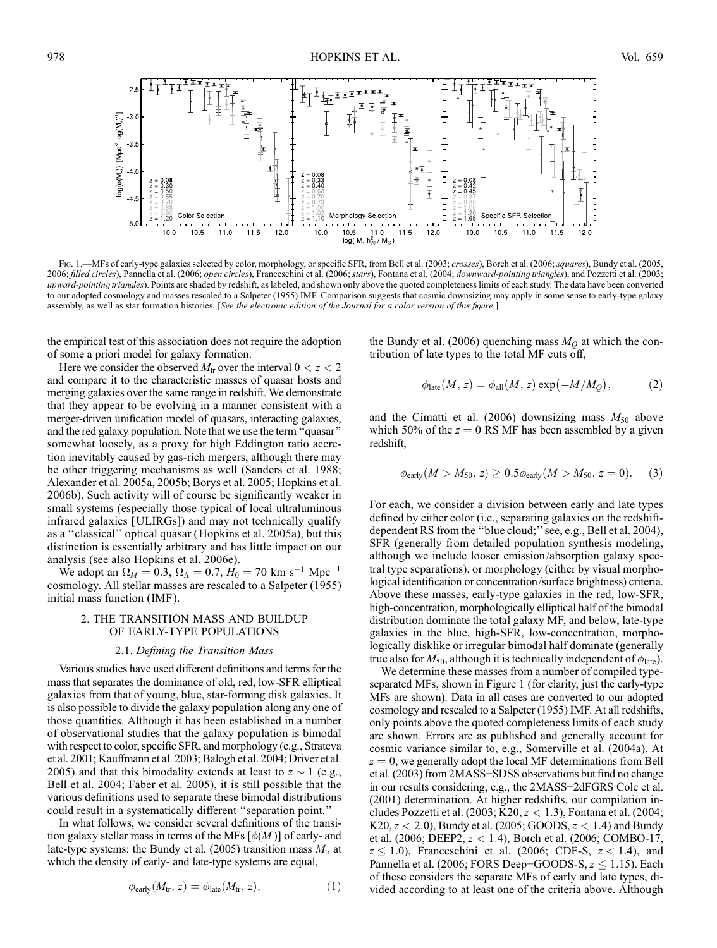

Fig. 1.—MFs of early-type galaxies selected by color, morphology, or specific SFR, from Bell et al. (2003; crosses), Borch et al. (2006; squares), Bundy et al. (2005, 2006; filled circles), Pannella et al. (2006; open circles), Franceschini et al. (2006; stars), Fontana et al. (2004; downward-pointing triangles), and Pozzetti et al. (2003; upward-pointing triangles). Points are shaded by redshift, as labeled, and shown only above the quoted completeness limits of each study. The data have been converted to our adopted cosmology and masses rescaled to a Salpeter (1955) IMF. Comparison suggests that cosmic downsizing may apply in some sense to early-type galaxy assembly, as well as star formation histories. [See the electronic edition of the Journal for a color version of this figure.]

the empirical test of this association does not require the adoption of some a priori model for galaxy formation.

Here we consider the observed  $M_{\text{tr}}$  over the interval  $0 < z < 2$ and compare it to the characteristic masses of quasar hosts and merging galaxies over the same range in redshift. We demonstrate that they appear to be evolving in a manner consistent with a merger-driven unification model of quasars, interacting galaxies, and the red galaxy population. Note that we use the term ''quasar'' somewhat loosely, as a proxy for high Eddington ratio accretion inevitably caused by gas-rich mergers, although there may be other triggering mechanisms as well (Sanders et al. 1988; Alexander et al. 2005a, 2005b; Borys et al. 2005; Hopkins et al. 2006b). Such activity will of course be significantly weaker in small systems (especially those typical of local ultraluminous infrared galaxies [ULIRGs]) and may not technically qualify as a ''classical'' optical quasar (Hopkins et al. 2005a), but this distinction is essentially arbitrary and has little impact on our analysis (see also Hopkins et al. 2006e).

We adopt an  $\Omega_M = 0.3$ ,  $\Omega_{\Lambda} = 0.7$ ,  $H_0 = 70$  km s<sup>-1</sup> Mpc<sup>-1</sup> cosmology. All stellar masses are rescaled to a Salpeter (1955) initial mass function (IMF ).

### 2. THE TRANSITION MASS AND BUILDUP OF EARLY-TYPE POPULATIONS

#### 2.1. Defining the Transition Mass

Various studies have used different definitions and terms for the mass that separates the dominance of old, red, low-SFR elliptical galaxies from that of young, blue, star-forming disk galaxies. It is also possible to divide the galaxy population along any one of those quantities. Although it has been established in a number of observational studies that the galaxy population is bimodal with respect to color, specific SFR, and morphology (e.g., Strateva et al. 2001; Kauffmann et al. 2003; Balogh et al. 2004; Driver et al. 2005) and that this bimodality extends at least to  $z \sim 1$  (e.g., Bell et al. 2004; Faber et al. 2005), it is still possible that the various definitions used to separate these bimodal distributions could result in a systematically different ''separation point.''

In what follows, we consider several definitions of the transition galaxy stellar mass in terms of the MFs  $[\phi(M)]$  of early- and late-type systems: the Bundy et al. (2005) transition mass  $M_{tr}$  at which the density of early- and late-type systems are equal,

$$
\phi_{\text{early}}(M_{\text{tr}}, z) = \phi_{\text{late}}(M_{\text{tr}}, z), \tag{1}
$$

the Bundy et al. (2006) quenching mass  $M<sub>O</sub>$  at which the contribution of late types to the total MF cuts off,

$$
\phi_{\text{late}}(M, z) = \phi_{\text{all}}(M, z) \exp(-M/M_Q), \tag{2}
$$

and the Cimatti et al. (2006) downsizing mass  $M_{50}$  above which 50% of the  $z = 0$  RS MF has been assembled by a given redshift,

$$
\phi_{\text{early}}(M > M_{50}, z) \ge 0.5\phi_{\text{early}}(M > M_{50}, z = 0). \tag{3}
$$

For each, we consider a division between early and late types defined by either color (i.e., separating galaxies on the redshiftdependent RS from the ''blue cloud;'' see, e.g., Bell et al. 2004), SFR (generally from detailed population synthesis modeling, although we include looser emission/absorption galaxy spectral type separations), or morphology (either by visual morphological identification or concentration/surface brightness) criteria. Above these masses, early-type galaxies in the red, low-SFR, high-concentration, morphologically elliptical half of the bimodal distribution dominate the total galaxy MF, and below, late-type galaxies in the blue, high-SFR, low-concentration, morphologically disklike or irregular bimodal half dominate (generally true also for  $M_{50}$ , although it is technically independent of  $\phi_{\text{late}}$ ).

We determine these masses from a number of compiled typeseparated MFs, shown in Figure 1 (for clarity, just the early-type MFs are shown). Data in all cases are converted to our adopted cosmology and rescaled to a Salpeter (1955) IMF. At all redshifts, only points above the quoted completeness limits of each study are shown. Errors are as published and generally account for cosmic variance similar to, e.g., Somerville et al. (2004a). At  $z = 0$ , we generally adopt the local MF determinations from Bell et al. (2003) from 2MASS+SDSS observations but find no change in our results considering, e.g., the 2MASS+2dFGRS Cole et al. (2001) determination. At higher redshifts, our compilation includes Pozzetti et al.  $(2003; K20, z < 1.3)$ , Fontana et al.  $(2004;$ K20,  $z < 2.0$ ), Bundy et al. (2005; GOODS,  $z < 1.4$ ) and Bundy et al. (2006; DEEP2, z < 1:4), Borch et al. (2006; COMBO-17,  $z \le 1.0$ ), Franceschini et al. (2006; CDF-S,  $z < 1.4$ ), and Pannella et al. (2006; FORS Deep+GOODS-S,  $z \le 1.15$ ). Each of these considers the separate MFs of early and late types, divided according to at least one of the criteria above. Although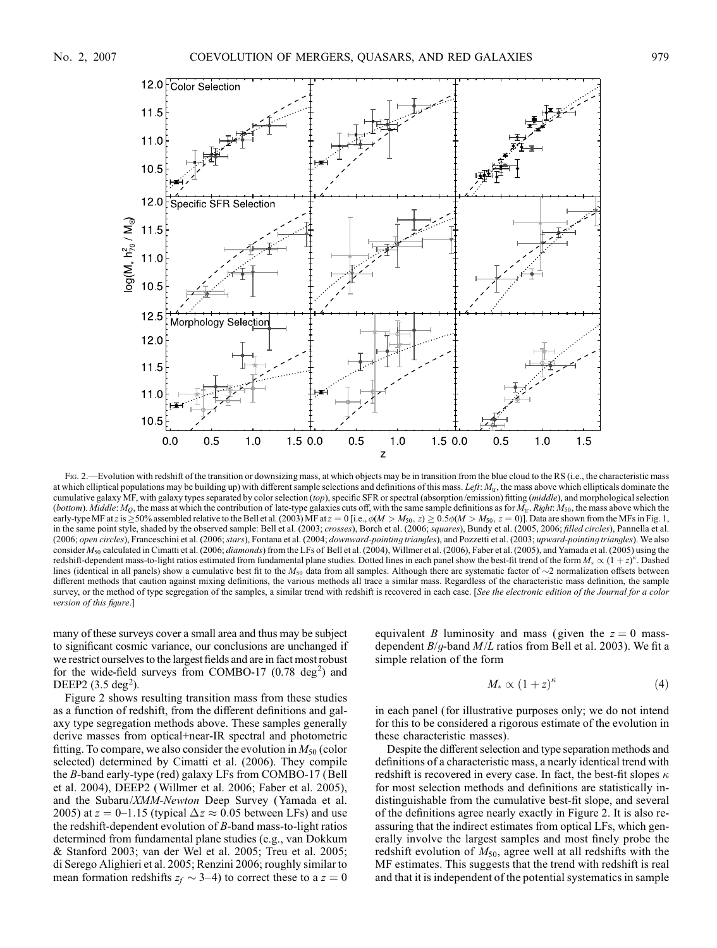

Fig. 2.—Evolution with redshift of the transition or downsizing mass, at which objects may be in transition from the blue cloud to the RS (i.e., the characteristic mass at which elliptical populations may be building up) with different sample selections and definitions of this mass. Left:  $M<sub>tr</sub>$ , the mass above which ellipticals dominate the cumulative galaxy MF, with galaxy types separated by color selection (top), specific SFR or spectral (absorption/emission) fitting (middle), and morphological selection (bottom). Middle:  $M_Q$ , the mass at which the contribution of late-type galaxies cuts off, with the same sample definitions as for  $M<sub>tr</sub>$ . Right:  $M<sub>50</sub>$ , the mass above which the early-type MF at z is  $\geq$  50% assembled relative to the Bell et al. (2003) MF at  $z = 0$  [i.e.,  $\phi(M > M_{50}, z) \geq 0.5\phi(M > M_{50}, z = 0)$ ]. Data are shown from the MFs in Fig. 1, in the same point style, shaded by the observed sample: Bell et al. (2003; crosses), Borch et al. (2006; squares), Bundy et al. (2005, 2006; filled circles), Pannella et al. (2006; open circles), Franceschini et al. (2006; stars), Fontana et al. (2004; downward-pointing triangles), and Pozzetti et al. (2003; upward-pointing triangles). We also consider  $M_{50}$  calculated in Cimatti et al. (2006; *diamonds*) from the LFs of Bell et al. (2004), Willmer et al. (2006), Faber et al. (2005), and Yamada et al. (2005) using the redshift-dependent mass-to-light ratios estimated from fundamental plane studies. Dotted lines in each panel show the best-fit trend of the form  $M_* \propto (1+z)^{\kappa}$ . Dashed lines (identical in all panels) show a cumulative best fit to the  $M_{50}$  data from all samples. Although there are systematic factor of  $\sim$ 2 normalization offsets between different methods that caution against mixing definitions, the various methods all trace a similar mass. Regardless of the characteristic mass definition, the sample survey, or the method of type segregation of the samples, a similar trend with redshift is recovered in each case. [See the electronic edition of the Journal for a color version of this figure.]

many of these surveys cover a small area and thus may be subject to significant cosmic variance, our conclusions are unchanged if we restrict ourselves to the largest fields and are in fact most robust for the wide-field surveys from COMBO-17  $(0.78 \text{ deg}^2)$  and DEEP2  $(3.5 \text{ deg}^2)$ .

Figure 2 shows resulting transition mass from these studies as a function of redshift, from the different definitions and galaxy type segregation methods above. These samples generally derive masses from optical+near-IR spectral and photometric fitting. To compare, we also consider the evolution in  $M_{50}$  (color selected) determined by Cimatti et al. (2006). They compile the B-band early-type (red) galaxy LFs from COMBO-17 (Bell et al. 2004), DEEP2 (Willmer et al. 2006; Faber et al. 2005), and the Subaru/XMM-Newton Deep Survey (Yamada et al. 2005) at  $z = 0$ -1.15 (typical  $\Delta z \approx 0.05$  between LFs) and use the redshift-dependent evolution of B-band mass-to-light ratios determined from fundamental plane studies (e.g., van Dokkum & Stanford 2003; van der Wel et al. 2005; Treu et al. 2005; di Serego Alighieri et al. 2005; Renzini 2006; roughly similar to mean formation redshifts  $z_f \sim 3{\text -}4$ ) to correct these to a  $z = 0$ 

equivalent B luminosity and mass (given the  $z = 0$  massdependent  $B/g$ -band  $M/L$  ratios from Bell et al. 2003). We fit a simple relation of the form

$$
M_* \propto (1+z)^{\kappa} \tag{4}
$$

in each panel (for illustrative purposes only; we do not intend for this to be considered a rigorous estimate of the evolution in these characteristic masses).

Despite the different selection and type separation methods and definitions of a characteristic mass, a nearly identical trend with redshift is recovered in every case. In fact, the best-fit slopes  $\kappa$ for most selection methods and definitions are statistically indistinguishable from the cumulative best-fit slope, and several of the definitions agree nearly exactly in Figure 2. It is also reassuring that the indirect estimates from optical LFs, which generally involve the largest samples and most finely probe the redshift evolution of  $M_{50}$ , agree well at all redshifts with the MF estimates. This suggests that the trend with redshift is real and that it is independent of the potential systematics in sample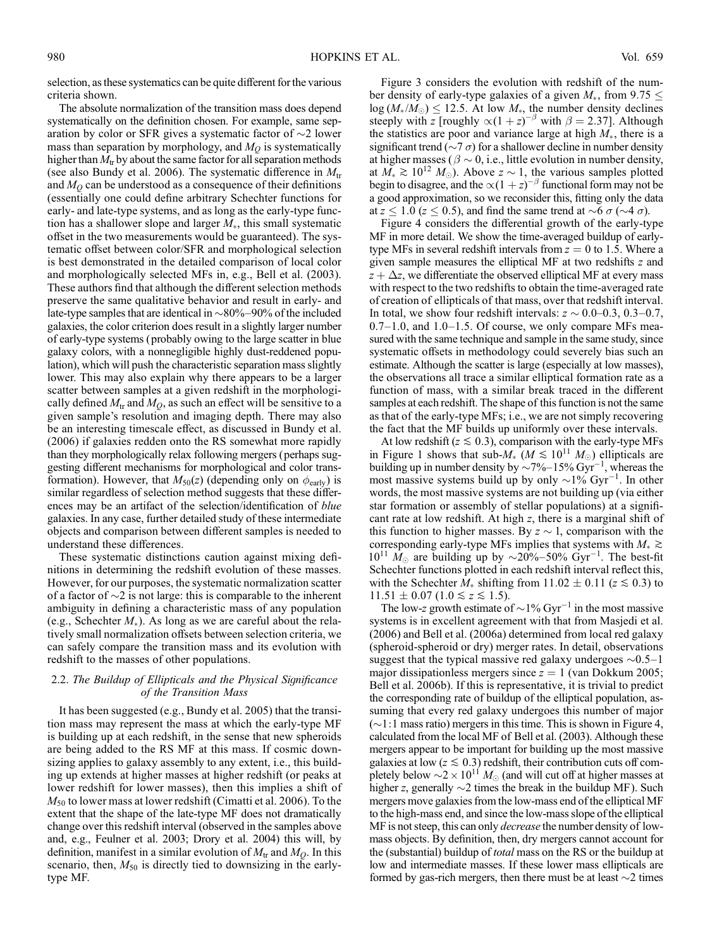selection, as these systematics can be quite different for the various criteria shown.

The absolute normalization of the transition mass does depend systematically on the definition chosen. For example, same separation by color or SFR gives a systematic factor of  $\sim$ 2 lower mass than separation by morphology, and  $M_O$  is systematically higher than  $M_{tr}$  by about the same factor for all separation methods (see also Bundy et al. 2006). The systematic difference in  $M_{tr}$ and  $M<sub>O</sub>$  can be understood as a consequence of their definitions (essentially one could define arbitrary Schechter functions for early- and late-type systems, and as long as the early-type function has a shallower slope and larger  $M_*$ , this small systematic offset in the two measurements would be guaranteed). The systematic offset between color/SFR and morphological selection is best demonstrated in the detailed comparison of local color and morphologically selected MFs in, e.g., Bell et al. (2003). These authors find that although the different selection methods preserve the same qualitative behavior and result in early- and late-type samples that are identical in  $\sim$ 80%-90% of the included galaxies, the color criterion does result in a slightly larger number of early-type systems (probably owing to the large scatter in blue galaxy colors, with a nonnegligible highly dust-reddened population), which will push the characteristic separation mass slightly lower. This may also explain why there appears to be a larger scatter between samples at a given redshift in the morphologically defined  $M_{tr}$  and  $M_O$ , as such an effect will be sensitive to a given sample's resolution and imaging depth. There may also be an interesting timescale effect, as discussed in Bundy et al. (2006) if galaxies redden onto the RS somewhat more rapidly than they morphologically relax following mergers (perhaps suggesting different mechanisms for morphological and color transformation). However, that  $M_{50}(z)$  (depending only on  $\phi_{\text{early}}$ ) is similar regardless of selection method suggests that these differences may be an artifact of the selection/identification of blue galaxies. In any case, further detailed study of these intermediate objects and comparison between different samples is needed to understand these differences.

These systematic distinctions caution against mixing definitions in determining the redshift evolution of these masses. However, for our purposes, the systematic normalization scatter of a factor of  $\sim$ 2 is not large: this is comparable to the inherent ambiguity in defining a characteristic mass of any population (e.g., Schechter  $M_*$ ). As long as we are careful about the relatively small normalization offsets between selection criteria, we can safely compare the transition mass and its evolution with redshift to the masses of other populations.

# 2.2. The Buildup of Ellipticals and the Physical Significance of the Transition Mass

It has been suggested (e.g., Bundy et al. 2005) that the transition mass may represent the mass at which the early-type MF is building up at each redshift, in the sense that new spheroids are being added to the RS MF at this mass. If cosmic downsizing applies to galaxy assembly to any extent, i.e., this building up extends at higher masses at higher redshift (or peaks at lower redshift for lower masses), then this implies a shift of  $M_{50}$  to lower mass at lower redshift (Cimatti et al. 2006). To the extent that the shape of the late-type MF does not dramatically change over this redshift interval (observed in the samples above and, e.g., Feulner et al. 2003; Drory et al. 2004) this will, by definition, manifest in a similar evolution of  $M_{tr}$  and  $M_Q$ . In this scenario, then,  $M_{50}$  is directly tied to downsizing in the earlytype MF.

Figure 3 considers the evolution with redshift of the number density of early-type galaxies of a given  $M_*$ , from 9.75  $\leq$  $log(M_*/M_{\odot}) \leq 12.5$ . At low  $M_*$ , the number density declines steeply with z [roughly  $\propto (1 + z)^{-\beta}$  with  $\beta = 2.37$ ]. Although the statistics are poor and variance large at high  $M_*$ , there is a significant trend ( $\sim$ 7  $\sigma$ ) for a shallower decline in number density at higher masses ( $\beta \sim 0$ , i.e., little evolution in number density, at  $M_* \ge 10^{12}$   $M_{\odot}$ ). Above  $z \sim 1$ , the various samples plotted begin to disagree, and the  $\propto (1 + z)^{-\beta}$  functional form may not be a good approximation, so we reconsider this, fitting only the data at  $z \leq 1.0$  ( $z \leq 0.5$ ), and find the same trend at  $\sim$ 6  $\sigma$  ( $\sim$ 4  $\sigma$ ).

Figure 4 considers the differential growth of the early-type MF in more detail. We show the time-averaged buildup of earlytype MFs in several redshift intervals from  $z = 0$  to 1.5. Where a given sample measures the elliptical MF at two redshifts z and  $z + \Delta z$ , we differentiate the observed elliptical MF at every mass with respect to the two redshifts to obtain the time-averaged rate of creation of ellipticals of that mass, over that redshift interval. In total, we show four redshift intervals:  $z \sim 0.0-0.3$ , 0.3-0.7,  $0.7-1.0$ , and  $1.0-1.5$ . Of course, we only compare MFs measured with the same technique and sample in the same study, since systematic offsets in methodology could severely bias such an estimate. Although the scatter is large (especially at low masses), the observations all trace a similar elliptical formation rate as a function of mass, with a similar break traced in the different samples at each redshift. The shape of this function is not the same as that of the early-type MFs; i.e., we are not simply recovering the fact that the MF builds up uniformly over these intervals.

At low redshift ( $z \le 0.3$ ), comparison with the early-type MFs in Figure 1 shows that sub- $M_*$   $(M \lesssim 10^{11} M_{\odot})$  ellipticals are building up in number density by  $\sim 7\%-15\% \text{ Gyr}^{-1}$ , whereas the most massive systems build up by only  $\sim$ 1% Gyr<sup>-1</sup>. In other words, the most massive systems are not building up (via either star formation or assembly of stellar populations) at a significant rate at low redshift. At high z, there is a marginal shift of this function to higher masses. By  $z \sim 1$ , comparison with the corresponding early-type MFs implies that systems with  $M_* \gtrsim$  $10^{11}$   $M_{\odot}$  are building up by ~20%-50% Gyr<sup>-1</sup>. The best-fit Schechter functions plotted in each redshift interval reflect this, with the Schechter  $M_*$  shifting from  $11.02 \pm 0.11$  ( $z \le 0.3$ ) to  $11.51 \pm 0.07$  ( $1.0 \le z \le 1.5$ ).

The low-z growth estimate of  $\sim$ 1% Gyr<sup>-1</sup> in the most massive systems is in excellent agreement with that from Masjedi et al. (2006) and Bell et al. (2006a) determined from local red galaxy (spheroid-spheroid or dry) merger rates. In detail, observations suggest that the typical massive red galaxy undergoes  $\sim 0.5-1$ major dissipationless mergers since  $z = 1$  (van Dokkum 2005; Bell et al. 2006b). If this is representative, it is trivial to predict the corresponding rate of buildup of the elliptical population, assuming that every red galaxy undergoes this number of major  $(\sim 1:1$  mass ratio) mergers in this time. This is shown in Figure 4, calculated from the local MF of Bell et al. (2003). Although these mergers appear to be important for building up the most massive galaxies at low ( $z \le 0.3$ ) redshift, their contribution cuts off completely below  $\sim$  2  $\times$  10<sup>11</sup>  $M_{\odot}$  (and will cut off at higher masses at higher z, generally  $\sim$ 2 times the break in the buildup MF). Such mergers move galaxies from the low-mass end of the elliptical MF to the high-mass end, and since the low-mass slope of the elliptical MF is not steep, this can only decrease the number density of lowmass objects. By definition, then, dry mergers cannot account for the (substantial) buildup of *total* mass on the RS or the buildup at low and intermediate masses. If these lower mass ellipticals are formed by gas-rich mergers, then there must be at least  $\sim$ 2 times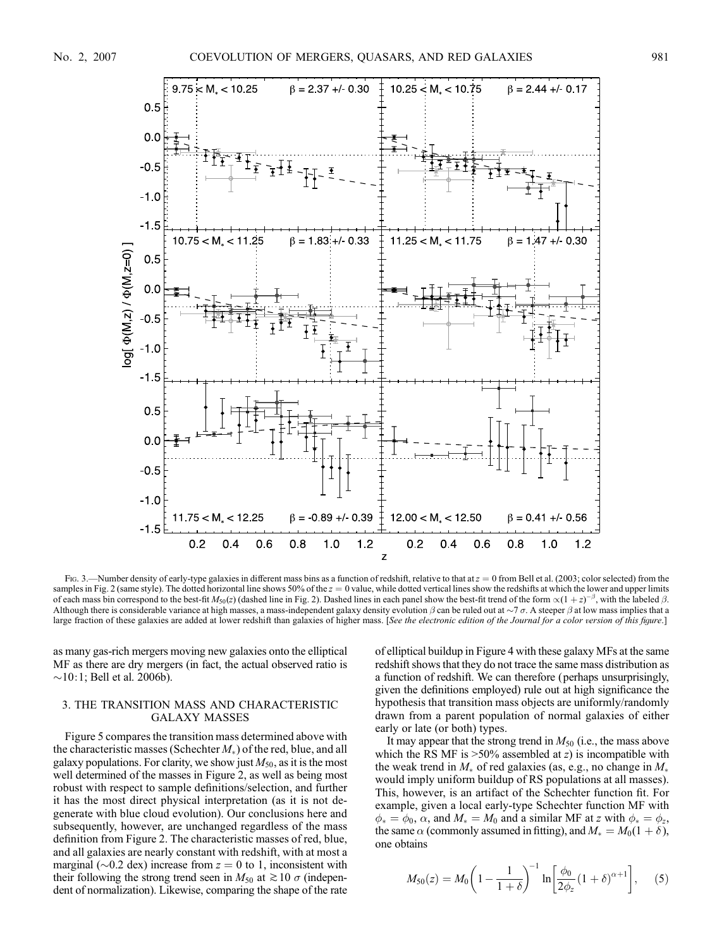

Fig. 3.—Number density of early-type galaxies in different mass bins as a function of redshift, relative to that at  $z = 0$  from Bell et al. (2003; color selected) from the samples in Fig. 2 (same style). The dotted horizontal line shows 50% of the  $z = 0$  value, while dotted vertical lines show the redshifts at which the lower and upper limits of each mass bin correspond to the best-fit  $M_{50}(z)$  (dashed line in Fig. 2). Dashed lines in each panel show the best-fit trend of the form  $\propto (1+z)^{-\beta}$ , with the labeled  $\beta$ . Although there is considerable variance at high masses, a mass-independent galaxy density evolution  $\beta$  can be ruled out at  $\sim$  7  $\sigma$ . A steeper  $\beta$  at low mass implies that a large fraction of these galaxies are added at lower redshift than galaxies of higher mass. [See the electronic edition of the Journal for a color version of this figure.]

as many gas-rich mergers moving new galaxies onto the elliptical MF as there are dry mergers (in fact, the actual observed ratio is  $\sim$ 10:1; Bell et al. 2006b).

# 3. THE TRANSITION MASS AND CHARACTERISTIC GALAXY MASSES

Figure 5 compares the transition mass determined above with the characteristic masses (Schechter  $M_*$ ) of the red, blue, and all galaxy populations. For clarity, we show just  $M_{50}$ , as it is the most well determined of the masses in Figure 2, as well as being most robust with respect to sample definitions/selection, and further it has the most direct physical interpretation (as it is not degenerate with blue cloud evolution). Our conclusions here and subsequently, however, are unchanged regardless of the mass definition from Figure 2. The characteristic masses of red, blue, and all galaxies are nearly constant with redshift, with at most a marginal ( $\sim$ 0.2 dex) increase from  $z = 0$  to 1, inconsistent with their following the strong trend seen in  $M_{50}$  at  $\gtrsim 10 \sigma$  (independent of normalization). Likewise, comparing the shape of the rate

of elliptical buildup in Figure 4 with these galaxy MFs at the same redshift shows that they do not trace the same mass distribution as a function of redshift. We can therefore (perhaps unsurprisingly, given the definitions employed) rule out at high significance the hypothesis that transition mass objects are uniformly/randomly drawn from a parent population of normal galaxies of either early or late (or both) types.

It may appear that the strong trend in  $M_{50}$  (i.e., the mass above which the RS MF is  $>50\%$  assembled at z) is incompatible with the weak trend in  $M_*$  of red galaxies (as, e.g., no change in  $M_*$ would imply uniform buildup of RS populations at all masses). This, however, is an artifact of the Schechter function fit. For example, given a local early-type Schechter function MF with  $\phi_* = \phi_0$ ,  $\alpha$ , and  $M_* = M_0$  and a similar MF at z with  $\phi_* = \phi_z$ , the same  $\alpha$  (commonly assumed in fitting), and  $M_* = M_0(1 + \delta)$ , one obtains

$$
M_{50}(z) = M_0 \left( 1 - \frac{1}{1+\delta} \right)^{-1} \ln \left[ \frac{\phi_0}{2\phi_z} (1+\delta)^{\alpha+1} \right], \quad (5)
$$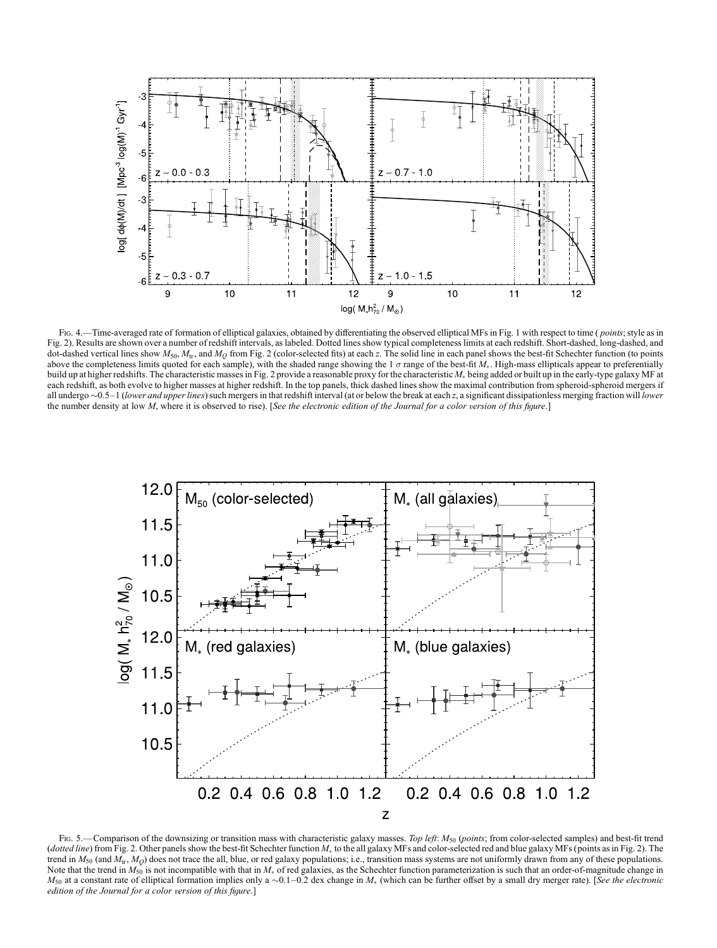

Fig. 4.—Time-averaged rate of formation of elliptical galaxies, obtained by differentiating the observed elliptical MFs in Fig. 1 with respect to time (*points*; style as in Fig. 2). Results are shown over a number of redshift intervals, as labeled. Dotted lines show typical completeness limits at each redshift. Short-dashed, long-dashed, and dot-dashed vertical lines show  $M_{50}$ ,  $M_{\text{tr}}$ , and  $M_{\text{O}}$  from Fig. 2 (color-selected fits) at each z. The solid line in each panel shows the best-fit Schechter function (to points above the completeness limits quoted for each sample), with the shaded range showing the 1  $\sigma$  range of the best-fit  $M_*$ . High-mass ellipticals appear to preferentially build up at higher redshifts. The characteristic masses in Fig. 2 provide a reasonable proxy for the characteristic  $M_*$  being added or built up in the early-type galaxy MF at each redshift, as both evolve to higher masses at higher redshift. In the top panels, thick dashed lines show the maximal contribution from spheroid-spheroid mergers if all undergo  $\sim$ 0.5–1 (lower and upper lines) such mergers in that redshift interval (at or below the break at each z, a significant dissipationless merging fraction will lower the number density at low  $M$ , where it is observed to rise). [See the electronic edition of the Journal for a color version of this figure.]



Fig. 5.—Comparison of the downsizing or transition mass with characteristic galaxy masses. Top left:  $M_{50}$  (points; from color-selected samples) and best-fit trend (dotted line) from Fig. 2. Other panels show the best-fit Schechter function  $M_*$  to the all galaxy MFs and color-selected red and blue galaxy MFs (points as in Fig. 2). The trend in  $M_{50}$  (and  $M_{\text{tr}}, M_{O}$ ) does not trace the all, blue, or red galaxy populations; i.e., transition mass systems are not uniformly drawn from any of these populations. Note that the trend in  $M_{50}$  is not incompatible with that in  $M_*$  of red galaxies, as the Schechter function parameterization is such that an order-of-magnitude change in  $M_{50}$  at a constant rate of elliptical formation implies only a  $\sim 0.1-0.2$  dex change in  $M_*$  (which can be further offset by a small dry merger rate). [See the electronic edition of the Journal for a color version of this figure.]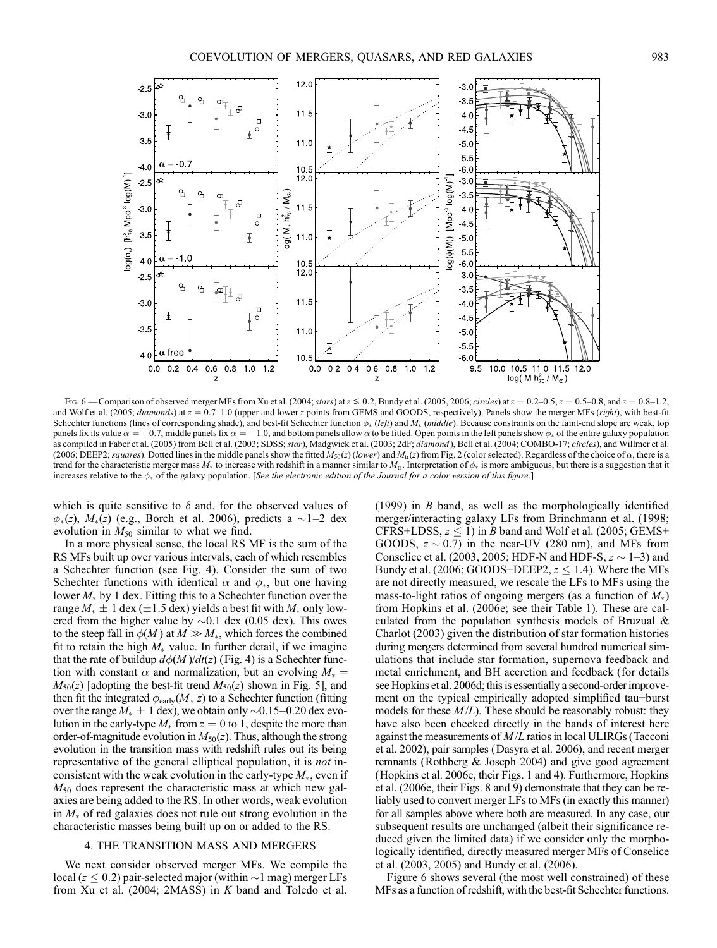

Fig. 6.—Comparison of observed merger MFs from Xu et al. (2004; stars) at  $z \le 0.2$ , Bundy et al. (2005, 2006; circles) at  $z = 0.2$ -0.5,  $z = 0.5$ -0.8, and  $z = 0.8$ -1.2, and Wolf et al. (2005; diamonds) at  $z = 0.7-1.0$  (upper and lower z points from GEMS and GOODS, respectively). Panels show the merger MFs (right), with best-fit Schechter functions (lines of corresponding shade), and best-fit Schechter function  $\phi_*$  (left) and  $M_*$  (middle). Because constraints on the faint-end slope are weak, top panels fix its value  $\alpha = -0.7$ , middle panels fix  $\alpha = -1.0$ , and bottom panels allow  $\alpha$  to be fitted. Open points in the left panels show  $\phi_*$  of the entire galaxy population as compiled in Faber et al. (2005) from Bell et al. (2003; SDSS; star), Madgwick et al. (2003; 2dF; diamond), Bell et al. (2004; COMBO-17; circles), and Willmer et al. (2006; DEEP2; squares). Dotted lines in the middle panels show the fitted  $M_{50}(z)$  (lower) and  $M_{\text{tr}}(z)$  from Fig. 2 (color selected). Regardless of the choice of  $\alpha$ , there is a trend for the characteristic merger mass  $M_*$  to increase with redshift in a manner similar to  $M_{\text{tr}}$ . Interpretation of  $\phi_*$  is more ambiguous, but there is a suggestion that it increases relative to the  $\phi_*$  of the galaxy population. [See the electronic edition of the Journal for a color version of this figure.]

which is quite sensitive to  $\delta$  and, for the observed values of  $\phi_*(z)$ ,  $M_*(z)$  (e.g., Borch et al. 2006), predicts a  $\sim$ 1-2 dex evolution in  $M_{50}$  similar to what we find.

In a more physical sense, the local RS MF is the sum of the RS MFs built up over various intervals, each of which resembles a Schechter function (see Fig. 4). Consider the sum of two Schechter functions with identical  $\alpha$  and  $\phi_*$ , but one having lower  $M_{\ast}$  by 1 dex. Fitting this to a Schechter function over the range  $M_* \pm 1$  dex ( $\pm 1.5$  dex) yields a best fit with  $M_*$  only lowered from the higher value by  $\sim 0.1$  dex (0.05 dex). This owes to the steep fall in  $\phi(M)$  at  $M \gg M_*$ , which forces the combined fit to retain the high  $M_*$  value. In further detail, if we imagine that the rate of buildup  $d\phi(M)/dt(z)$  (Fig. 4) is a Schechter function with constant  $\alpha$  and normalization, but an evolving  $M_* =$  $M_{50}(z)$  [adopting the best-fit trend  $M_{50}(z)$  shown in Fig. 5], and then fit the integrated  $\phi_{\text{early}}(M, z)$  to a Schechter function (fitting over the range  $\overline{M}_* \pm 1$  dex), we obtain only  $\sim 0.15-0.20$  dex evolution in the early-type  $M_*$  from  $z = 0$  to 1, despite the more than order-of-magnitude evolution in  $M_{50}(z)$ . Thus, although the strong evolution in the transition mass with redshift rules out its being representative of the general elliptical population, it is not inconsistent with the weak evolution in the early-type  $M_*$ , even if  $M_{50}$  does represent the characteristic mass at which new galaxies are being added to the RS. In other words, weak evolution in  $M_*$  of red galaxies does not rule out strong evolution in the characteristic masses being built up on or added to the RS.

#### 4. THE TRANSITION MASS AND MERGERS

We next consider observed merger MFs. We compile the local ( $z \leq 0.2$ ) pair-selected major (within  $\sim$  1 mag) merger LFs from Xu et al. (2004; 2MASS) in K band and Toledo et al. (1999) in  $B$  band, as well as the morphologically identified merger/interacting galaxy LFs from Brinchmann et al. (1998; CFRS+LDSS,  $z \le 1$ ) in *B* band and Wolf et al. (2005; GEMS+ GOODS,  $z \sim 0.7$ ) in the near-UV (280 nm), and MFs from Conselice et al. (2003, 2005; HDF-N and HDF-S,  $z \sim 1-3$ ) and Bundy et al. (2006; GOODS+DEEP2,  $z \le 1.4$ ). Where the MFs are not directly measured, we rescale the LFs to MFs using the mass-to-light ratios of ongoing mergers (as a function of  $M_*$ ) from Hopkins et al. (2006e; see their Table 1). These are calculated from the population synthesis models of Bruzual & Charlot (2003) given the distribution of star formation histories during mergers determined from several hundred numerical simulations that include star formation, supernova feedback and metal enrichment, and BH accretion and feedback (for details see Hopkins et al. 2006d; this is essentially a second-order improvement on the typical empirically adopted simplified tau+burst models for these  $M/L$ ). These should be reasonably robust: they have also been checked directly in the bands of interest here against the measurements of  $M/L$  ratios in local ULIRGs (Tacconi et al. 2002), pair samples (Dasyra et al. 2006), and recent merger remnants (Rothberg & Joseph 2004) and give good agreement (Hopkins et al. 2006e, their Figs. 1 and 4). Furthermore, Hopkins et al. (2006e, their Figs. 8 and 9) demonstrate that they can be reliably used to convert merger LFs to MFs (in exactly this manner) for all samples above where both are measured. In any case, our subsequent results are unchanged (albeit their significance reduced given the limited data) if we consider only the morphologically identified, directly measured merger MFs of Conselice et al. (2003, 2005) and Bundy et al. (2006).

Figure 6 shows several (the most well constrained) of these MFs as a function of redshift, with the best-fit Schechter functions.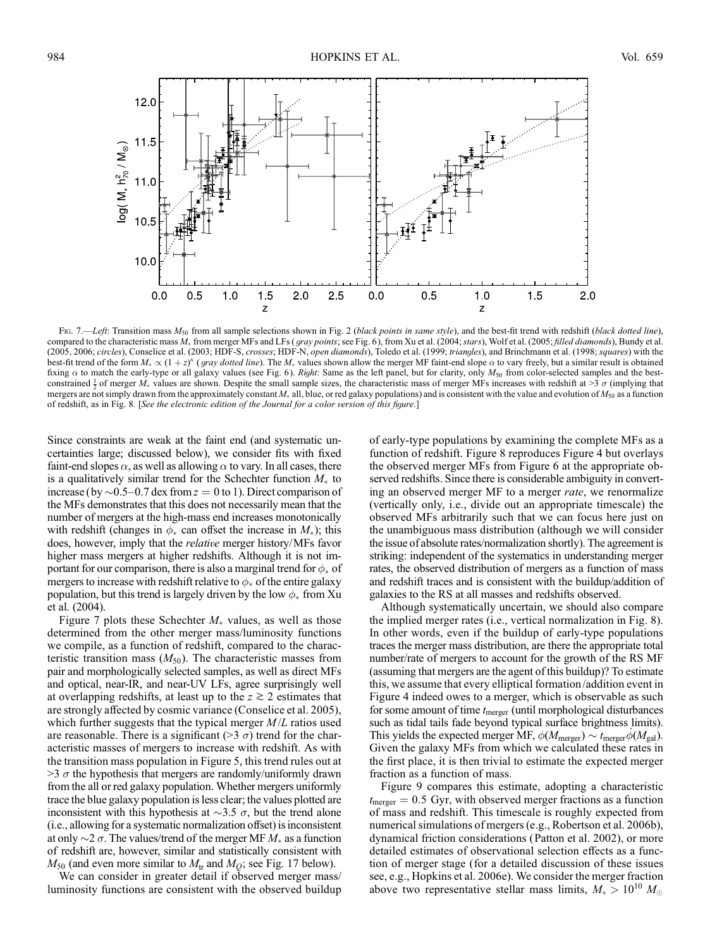

Fig. 7.—Left: Transition mass  $M_{50}$  from all sample selections shown in Fig. 2 (black points in same style), and the best-fit trend with redshift (black dotted line), compared to the characteristic mass  $M_*$  from merger MFs and LFs (*gray points*; see Fig. 6), from Xu et al. (2004; stars), Wolf et al. (2005; *filled diamonds*), Bundy et al. (2005, 2006; circles), Conselice et al. (2003; HDF-S, crosses; HDF-N, open diamonds), Toledo et al. (1999; triangles), and Brinchmann et al. (1998; squares) with the best-fit trend of the form  $M_* \propto (1+z)^{\kappa}$  (*gray dotted line*). The  $M_*$  values shown allow the merger MF faint-end slope  $\alpha$  to vary freely, but a similar result is obtained fixing  $\alpha$  to match the early-type or all galaxy values (see Fig. 6). Right: Same as the left panel, but for clarity, only  $M_{50}$  from color-selected samples and the bestconstrained  $\frac{1}{2}$  of merger  $M_*$  values are shown. Despite the small sample sizes, the characteristic mass of merger MFs increases with redshift at >3  $\sigma$  (implying that mergers are not simply drawn from the approximately constant  $M_*$  all, blue, or red galaxy populations) and is consistent with the value and evolution of  $M_{50}$  as a function of redshift, as in Fig. 8. [See the electronic edition of the Journal for a color version of this figure.]

Since constraints are weak at the faint end (and systematic uncertainties large; discussed below), we consider fits with fixed faint-end slopes  $\alpha$ , as well as allowing  $\alpha$  to vary. In all cases, there is a qualitatively similar trend for the Schechter function  $M_{\ast}$  to increase (by  $\sim$  0.5–0.7 dex from  $z = 0$  to 1). Direct comparison of the MFs demonstrates that this does not necessarily mean that the number of mergers at the high-mass end increases monotonically with redshift (changes in  $\phi_*$  can offset the increase in  $M_*$ ); this does, however, imply that the relative merger history/MFs favor higher mass mergers at higher redshifts. Although it is not important for our comparison, there is also a marginal trend for  $\phi_*$  of mergers to increase with redshift relative to  $\phi_*$  of the entire galaxy population, but this trend is largely driven by the low  $\phi_*$  from Xu et al. (2004).

Figure 7 plots these Schechter  $M_*$  values, as well as those determined from the other merger mass/luminosity functions we compile, as a function of redshift, compared to the characteristic transition mass  $(M_{50})$ . The characteristic masses from pair and morphologically selected samples, as well as direct MFs and optical, near-IR, and near-UV LFs, agree surprisingly well at overlapping redshifts, at least up to the  $z \gtrsim 2$  estimates that are strongly affected by cosmic variance (Conselice et al. 2005), which further suggests that the typical merger  $M/L$  ratios used are reasonable. There is a significant ( $>3 \sigma$ ) trend for the characteristic masses of mergers to increase with redshift. As with the transition mass population in Figure 5, this trend rules out at  $>$ 3  $\sigma$  the hypothesis that mergers are randomly/uniformly drawn from the all or red galaxy population. Whether mergers uniformly trace the blue galaxy population is less clear; the values plotted are inconsistent with this hypothesis at  $\sim$ 3.5  $\sigma$ , but the trend alone (i.e., allowing for a systematic normalization offset) is inconsistent at only  $\sim$  2  $\sigma$ . The values/trend of the merger MF  $M_*$  as a function of redshift are, however, similar and statistically consistent with  $M_{50}$  (and even more similar to  $M_{\text{tr}}$  and  $M_{\text{O}}$ ; see Fig. 17 below).

We can consider in greater detail if observed merger mass/ luminosity functions are consistent with the observed buildup

of early-type populations by examining the complete MFs as a function of redshift. Figure 8 reproduces Figure 4 but overlays the observed merger MFs from Figure 6 at the appropriate observed redshifts. Since there is considerable ambiguity in converting an observed merger MF to a merger *rate*, we renormalize (vertically only, i.e., divide out an appropriate timescale) the observed MFs arbitrarily such that we can focus here just on the unambiguous mass distribution (although we will consider the issue of absolute rates/normalization shortly). The agreement is striking: independent of the systematics in understanding merger rates, the observed distribution of mergers as a function of mass and redshift traces and is consistent with the buildup/addition of galaxies to the RS at all masses and redshifts observed.

Although systematically uncertain, we should also compare the implied merger rates (i.e., vertical normalization in Fig. 8). In other words, even if the buildup of early-type populations traces the merger mass distribution, are there the appropriate total number/rate of mergers to account for the growth of the RS MF (assuming that mergers are the agent of this buildup)? To estimate this, we assume that every elliptical formation/addition event in Figure 4 indeed owes to a merger, which is observable as such for some amount of time  $t_{\text{merger}}$  (until morphological disturbances such as tidal tails fade beyond typical surface brightness limits). This yields the expected merger MF,  $\phi(M_{\text{merger}}) \sim t_{\text{merger}} \dot{\phi}(M_{\text{gal}})$ . Given the galaxy MFs from which we calculated these rates in the first place, it is then trivial to estimate the expected merger fraction as a function of mass.

Figure 9 compares this estimate, adopting a characteristic  $t_{\text{merger}} = 0.5$  Gyr, with observed merger fractions as a function of mass and redshift. This timescale is roughly expected from numerical simulations of mergers (e.g., Robertson et al. 2006b), dynamical friction considerations (Patton et al. 2002), or more detailed estimates of observational selection effects as a function of merger stage (for a detailed discussion of these issues see, e.g., Hopkins et al. 2006e). We consider the merger fraction above two representative stellar mass limits,  $M_* > 10^{10} M_{\odot}$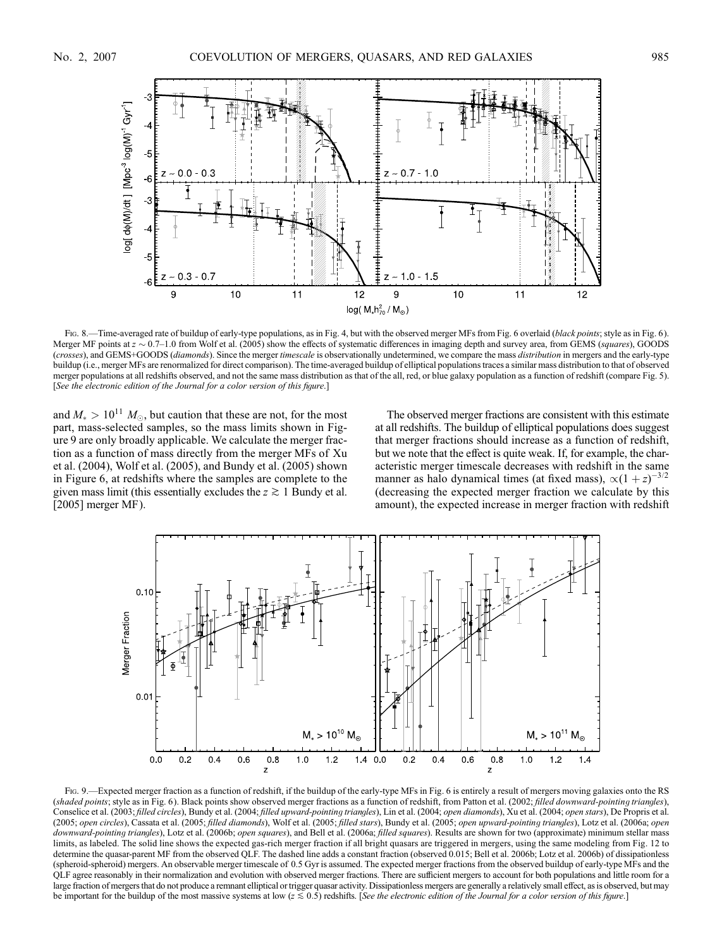

Fig. 8.—Time-averaged rate of buildup of early-type populations, as in Fig. 4, but with the observed merger MFs from Fig. 6 overlaid (black points; style as in Fig. 6). Merger MF points at  $z \sim 0.7-1.0$  from Wolf et al. (2005) show the effects of systematic differences in imaging depth and survey area, from GEMS (squares), GOODS (crosses), and GEMS+GOODS (diamonds). Since the merger timescale is observationally undetermined, we compare the mass distribution in mergers and the early-type buildup (i.e., merger MFs are renormalized for direct comparison). The time-averaged buildup of elliptical populations traces a similar mass distribution to that of observed merger populations at all redshifts observed, and not the same mass distribution as that of the all, red, or blue galaxy population as a function of redshift (compare Fig. 5). [See the electronic edition of the Journal for a color version of this figure.]

and  $M_* > 10^{11} M_{\odot}$ , but caution that these are not, for the most part, mass-selected samples, so the mass limits shown in Figure 9 are only broadly applicable. We calculate the merger fraction as a function of mass directly from the merger MFs of Xu et al. (2004), Wolf et al. (2005), and Bundy et al. (2005) shown in Figure 6, at redshifts where the samples are complete to the given mass limit (this essentially excludes the  $z \gtrsim 1$  Bundy et al. [2005] merger MF).

The observed merger fractions are consistent with this estimate at all redshifts. The buildup of elliptical populations does suggest that merger fractions should increase as a function of redshift, but we note that the effect is quite weak. If, for example, the characteristic merger timescale decreases with redshift in the same manner as halo dynamical times (at fixed mass),  $\propto (1 + z)^{-3/2}$ (decreasing the expected merger fraction we calculate by this amount), the expected increase in merger fraction with redshift



Fig. 9.—Expected merger fraction as a function of redshift, if the buildup of the early-type MFs in Fig. 6 is entirely a result of mergers moving galaxies onto the RS (shaded points; style as in Fig. 6). Black points show observed merger fractions as a function of redshift, from Patton et al. (2002; filled downward-pointing triangles), Conselice et al. (2003; filled circles), Bundy et al. (2004; filled upward-pointing triangles), Lin et al. (2004; open diamonds), Xu et al. (2004; open stars), De Propris et al. (2005; open circles), Cassata et al. (2005; filled diamonds), Wolf et al. (2005; filled stars), Bundy et al. (2005; open upward-pointing triangles), Lotz et al. (2006a; open downward-pointing triangles), Lotz et al. (2006b; open squares), and Bell et al. (2006a; filled squares). Results are shown for two (approximate) minimum stellar mass limits, as labeled. The solid line shows the expected gas-rich merger fraction if all bright quasars are triggered in mergers, using the same modeling from Fig. 12 to determine the quasar-parent MF from the observed QLF. The dashed line adds a constant fraction (observed 0.015; Bell et al. 2006b; Lotz et al. 2006b) of dissipationless (spheroid-spheroid) mergers. An observable merger timescale of 0.5 Gyr is assumed. The expected merger fractions from the observed buildup of early-type MFs and the QLF agree reasonably in their normalization and evolution with observed merger fractions. There are sufficient mergers to account for both populations and little room for a large fraction of mergers that do not produce a remnant elliptical or trigger quasar activity. Dissipationless mergers are generally a relatively small effect, as is observed, but may be important for the buildup of the most massive systems at low  $(z \le 0.5)$  redshifts. [See the electronic edition of the Journal for a color version of this figure.]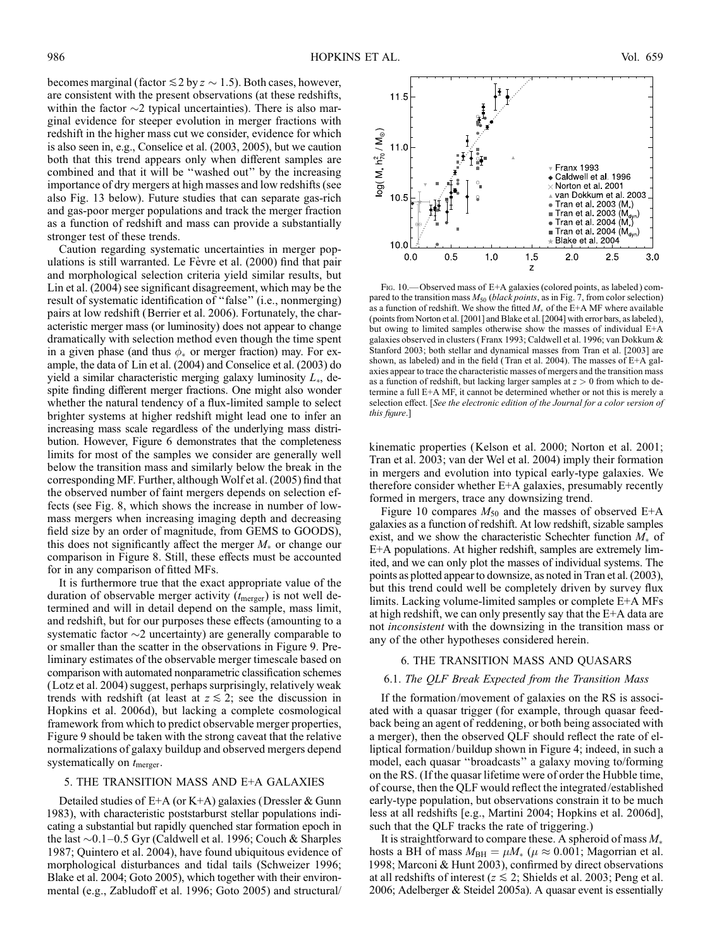becomes marginal (factor  $\leq 2$  by  $z \sim 1.5$ ). Both cases, however, are consistent with the present observations (at these redshifts, within the factor  $\sim$ 2 typical uncertainties). There is also marginal evidence for steeper evolution in merger fractions with redshift in the higher mass cut we consider, evidence for which is also seen in, e.g., Conselice et al. (2003, 2005), but we caution both that this trend appears only when different samples are combined and that it will be ''washed out'' by the increasing importance of dry mergers at high masses and low redshifts (see also Fig. 13 below). Future studies that can separate gas-rich and gas-poor merger populations and track the merger fraction as a function of redshift and mass can provide a substantially stronger test of these trends.

Caution regarding systematic uncertainties in merger populations is still warranted. Le Fèvre et al. (2000) find that pair and morphological selection criteria yield similar results, but Lin et al. (2004) see significant disagreement, which may be the result of systematic identification of ''false'' (i.e., nonmerging) pairs at low redshift (Berrier et al. 2006). Fortunately, the characteristic merger mass (or luminosity) does not appear to change dramatically with selection method even though the time spent in a given phase (and thus  $\phi_*$  or merger fraction) may. For example, the data of Lin et al. (2004) and Conselice et al. (2003) do yield a similar characteristic merging galaxy luminosity  $L_{*}$ , despite finding different merger fractions. One might also wonder whether the natural tendency of a flux-limited sample to select brighter systems at higher redshift might lead one to infer an increasing mass scale regardless of the underlying mass distribution. However, Figure 6 demonstrates that the completeness limits for most of the samples we consider are generally well below the transition mass and similarly below the break in the corresponding MF. Further, although Wolf et al. (2005) find that the observed number of faint mergers depends on selection effects (see Fig. 8, which shows the increase in number of lowmass mergers when increasing imaging depth and decreasing field size by an order of magnitude, from GEMS to GOODS), this does not significantly affect the merger  $M_*$  or change our comparison in Figure 8. Still, these effects must be accounted for in any comparison of fitted MFs.

It is furthermore true that the exact appropriate value of the duration of observable merger activity  $(t_{\text{merger}})$  is not well determined and will in detail depend on the sample, mass limit, and redshift, but for our purposes these effects (amounting to a systematic factor  $\sim$ 2 uncertainty) are generally comparable to or smaller than the scatter in the observations in Figure 9. Preliminary estimates of the observable merger timescale based on comparison with automated nonparametric classification schemes (Lotz et al. 2004) suggest, perhaps surprisingly, relatively weak trends with redshift (at least at  $z \leq 2$ ; see the discussion in Hopkins et al. 2006d), but lacking a complete cosmological framework from which to predict observable merger properties, Figure 9 should be taken with the strong caveat that the relative normalizations of galaxy buildup and observed mergers depend systematically on  $t_{\text{merger}}$ .

### 5. THE TRANSITION MASS AND E+A GALAXIES

Detailed studies of  $E+A$  (or K+A) galaxies (Dressler & Gunn 1983), with characteristic poststarburst stellar populations indicating a substantial but rapidly quenched star formation epoch in the last  $\sim$  0.1–0.5 Gyr (Caldwell et al. 1996; Couch & Sharples 1987; Quintero et al. 2004), have found ubiquitous evidence of morphological disturbances and tidal tails (Schweizer 1996; Blake et al. 2004; Goto 2005), which together with their environmental (e.g., Zabludoff et al. 1996; Goto 2005) and structural/



Fig. 10.—Observed mass of E+A galaxies (colored points, as labeled) compared to the transition mass  $M_{50}$  (black points, as in Fig. 7, from color selection) as a function of redshift. We show the fitted  $M_*$  of the E+A MF where available (points from Norton et al. [2001] and Blake et al. [2004] with error bars, as labeled), but owing to limited samples otherwise show the masses of individual E+A galaxies observed in clusters ( Franx 1993; Caldwell et al. 1996; van Dokkum & Stanford 2003; both stellar and dynamical masses from Tran et al. [2003] are shown, as labeled) and in the field (Tran et al. 2004). The masses of  $E+A$  galaxies appear to trace the characteristic masses of mergers and the transition mass as a function of redshift, but lacking larger samples at  $z > 0$  from which to determine a full E+A MF, it cannot be determined whether or not this is merely a selection effect. [See the electronic edition of the Journal for a color version of this figure.]

kinematic properties (Kelson et al. 2000; Norton et al. 2001; Tran et al. 2003; van der Wel et al. 2004) imply their formation in mergers and evolution into typical early-type galaxies. We therefore consider whether E+A galaxies, presumably recently formed in mergers, trace any downsizing trend.

Figure 10 compares  $M_{50}$  and the masses of observed E+A galaxies as a function of redshift. At low redshift, sizable samples exist, and we show the characteristic Schechter function  $M_*$  of E+A populations. At higher redshift, samples are extremely limited, and we can only plot the masses of individual systems. The points as plotted appear to downsize, as noted in Tran et al. (2003), but this trend could well be completely driven by survey flux limits. Lacking volume-limited samples or complete E+A MFs at high redshift, we can only presently say that the E+A data are not inconsistent with the downsizing in the transition mass or any of the other hypotheses considered herein.

#### 6. THE TRANSITION MASS AND QUASARS

#### 6.1. The QLF Break Expected from the Transition Mass

If the formation/movement of galaxies on the RS is associated with a quasar trigger (for example, through quasar feedback being an agent of reddening, or both being associated with a merger), then the observed QLF should reflect the rate of elliptical formation/ buildup shown in Figure 4; indeed, in such a model, each quasar ''broadcasts'' a galaxy moving to/forming on the RS. (If the quasar lifetime were of order the Hubble time, of course, then the QLF would reflect the integrated/established early-type population, but observations constrain it to be much less at all redshifts [e.g., Martini 2004; Hopkins et al. 2006d], such that the QLF tracks the rate of triggering.)

It is straightforward to compare these. A spheroid of mass  $M_*$ hosts a BH of mass  $M_{\text{BH}} = \mu M_*$  ( $\mu \approx 0.001$ ; Magorrian et al. 1998; Marconi & Hunt 2003), confirmed by direct observations at all redshifts of interest ( $z \le 2$ ; Shields et al. 2003; Peng et al. 2006; Adelberger & Steidel 2005a). A quasar event is essentially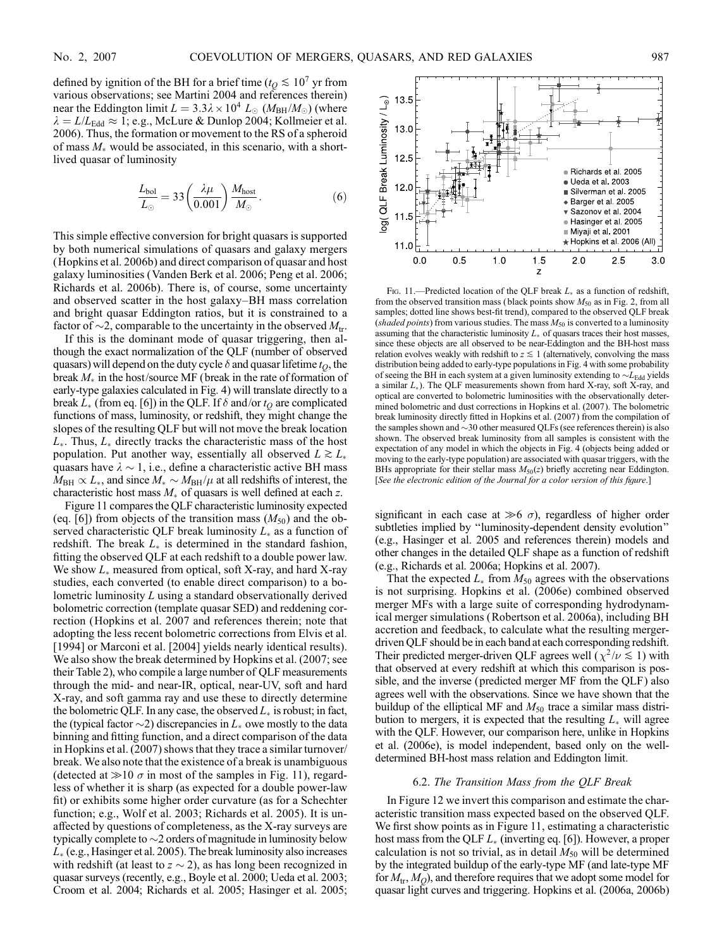defined by ignition of the BH for a brief time ( $t<sub>O</sub> \le 10<sup>7</sup>$  yr from various observations; see Martini 2004 and references therein) near the Eddington limit  $L = 3.3\lambda \times 10^4$   $L_{\odot}$  ( $M_{\text{BH}}/M_{\odot}$ ) (where  $\lambda = L/L_{\text{Edd}} \approx 1$ ; e.g., McLure & Dunlop 2004; Kollmeier et al. 2006). Thus, the formation or movement to the RS of a spheroid of mass  $M_*$  would be associated, in this scenario, with a shortlived quasar of luminosity

$$
\frac{L_{\text{bol}}}{L_{\odot}} = 33 \left( \frac{\lambda \mu}{0.001} \right) \frac{M_{\text{host}}}{M_{\odot}}.
$$
 (6)

This simple effective conversion for bright quasars is supported by both numerical simulations of quasars and galaxy mergers (Hopkins et al. 2006b) and direct comparison of quasar and host galaxy luminosities (Vanden Berk et al. 2006; Peng et al. 2006; Richards et al. 2006b). There is, of course, some uncertainty and observed scatter in the host galaxy-BH mass correlation and bright quasar Eddington ratios, but it is constrained to a factor of  $\sim$ 2, comparable to the uncertainty in the observed  $M_{\rm tr}$ .

If this is the dominant mode of quasar triggering, then although the exact normalization of the QLF (number of observed quasars) will depend on the duty cycle  $\delta$  and quasar lifetime  $t_O$ , the break  $M_*$  in the host/source MF (break in the rate of formation of early-type galaxies calculated in Fig. 4) will translate directly to a break  $L_{\ast}$  (from eq. [6]) in the QLF. If  $\delta$  and/or  $t_{O}$  are complicated functions of mass, luminosity, or redshift, they might change the slopes of the resulting QLF but will not move the break location  $L_{*}$ . Thus,  $L_{*}$  directly tracks the characteristic mass of the host population. Put another way, essentially all observed  $L \gtrsim L_*$ quasars have  $\lambda \sim 1$ , i.e., define a characteristic active BH mass  $M_{\rm BH} \propto L_*$ , and since  $M_* \sim M_{\rm BH}/\mu$  at all redshifts of interest, the characteristic host mass  $M_*$  of quasars is well defined at each z.

Figure 11 compares the QLF characteristic luminosity expected (eq. [6]) from objects of the transition mass  $(M_{50})$  and the observed characteristic QLF break luminosity  $L_{\ast}$  as a function of redshift. The break  $L_*$  is determined in the standard fashion, fitting the observed QLF at each redshift to a double power law. We show  $L_*$  measured from optical, soft X-ray, and hard X-ray studies, each converted (to enable direct comparison) to a bolometric luminosity L using a standard observationally derived bolometric correction (template quasar SED) and reddening correction (Hopkins et al. 2007 and references therein; note that adopting the less recent bolometric corrections from Elvis et al. [1994] or Marconi et al. [2004] yields nearly identical results). We also show the break determined by Hopkins et al. (2007; see their Table 2), who compile a large number of QLF measurements through the mid- and near-IR, optical, near-UV, soft and hard X-ray, and soft gamma ray and use these to directly determine the bolometric QLF. In any case, the observed  $L_*$  is robust; in fact, the (typical factor  $\sim$ 2) discrepancies in  $L_*$  owe mostly to the data binning and fitting function, and a direct comparison of the data in Hopkins et al. (2007) shows that they trace a similar turnover/ break. We also note that the existence of a break is unambiguous (detected at  $\gg$ 10  $\sigma$  in most of the samples in Fig. 11), regardless of whether it is sharp (as expected for a double power-law fit) or exhibits some higher order curvature (as for a Schechter function; e.g., Wolf et al. 2003; Richards et al. 2005). It is unaffected by questions of completeness, as the X-ray surveys are typically complete to  $\sim$  2 orders of magnitude in luminosity below  $L_{*}$  (e.g., Hasinger et al. 2005). The break luminosity also increases with redshift (at least to  $z \sim 2$ ), as has long been recognized in quasar surveys (recently, e.g., Boyle et al. 2000; Ueda et al. 2003; Croom et al. 2004; Richards et al. 2005; Hasinger et al. 2005;



Fig. 11.—Predicted location of the QLF break  $L_{\ast}$  as a function of redshift, from the observed transition mass (black points show  $M_{50}$  as in Fig. 2, from all samples; dotted line shows best-fit trend), compared to the observed QLF break (shaded points) from various studies. The mass  $M_{50}$  is converted to a luminosity assuming that the characteristic luminosity  $L_{\ast}$  of quasars traces their host masses, since these objects are all observed to be near-Eddington and the BH-host mass relation evolves weakly with redshift to  $z \lesssim 1$  (alternatively, convolving the mass distribution being added to early-type populations in Fig. 4 with some probability of seeing the BH in each system at a given luminosity extending to  $\sim L_{\rm Edd}$  yields a similar  $L_{*}$ ). The QLF measurements shown from hard X-ray, soft X-ray, and optical are converted to bolometric luminosities with the observationally determined bolometric and dust corrections in Hopkins et al. (2007). The bolometric break luminosity directly fitted in Hopkins et al. (2007) from the compilation of the samples shown and  $\sim$ 30 other measured QLFs (see references therein) is also shown. The observed break luminosity from all samples is consistent with the expectation of any model in which the objects in Fig. 4 (objects being added or moving to the early-type population) are associated with quasar triggers, with the BHs appropriate for their stellar mass  $M_{50}(z)$  briefly accreting near Eddington. [See the electronic edition of the Journal for a color version of this figure.]

significant in each case at  $\gg 6$   $\sigma$ ), regardless of higher order subtleties implied by ''luminosity-dependent density evolution'' (e.g., Hasinger et al. 2005 and references therein) models and other changes in the detailed QLF shape as a function of redshift (e.g., Richards et al. 2006a; Hopkins et al. 2007).

That the expected  $L_{*}$  from  $M_{50}$  agrees with the observations is not surprising. Hopkins et al. (2006e) combined observed merger MFs with a large suite of corresponding hydrodynamical merger simulations (Robertson et al. 2006a), including BH accretion and feedback, to calculate what the resulting mergerdriven QLF should be in each band at each corresponding redshift. Their predicted merger-driven QLF agrees well ( $\chi^2/\nu \lesssim 1$ ) with that observed at every redshift at which this comparison is possible, and the inverse (predicted merger MF from the QLF) also agrees well with the observations. Since we have shown that the buildup of the elliptical MF and  $M_{50}$  trace a similar mass distribution to mergers, it is expected that the resulting  $L_{\ast}$  will agree with the QLF. However, our comparison here, unlike in Hopkins et al. (2006e), is model independent, based only on the welldetermined BH-host mass relation and Eddington limit.

#### 6.2. The Transition Mass from the QLF Break

In Figure 12 we invert this comparison and estimate the characteristic transition mass expected based on the observed QLF. We first show points as in Figure 11, estimating a characteristic host mass from the QLF  $L_{*}$  (inverting eq. [6]). However, a proper calculation is not so trivial, as in detail  $M_{50}$  will be determined by the integrated buildup of the early-type MF (and late-type MF for  $M_{tr}$ ,  $M_Q$ ), and therefore requires that we adopt some model for quasar light curves and triggering. Hopkins et al. (2006a, 2006b)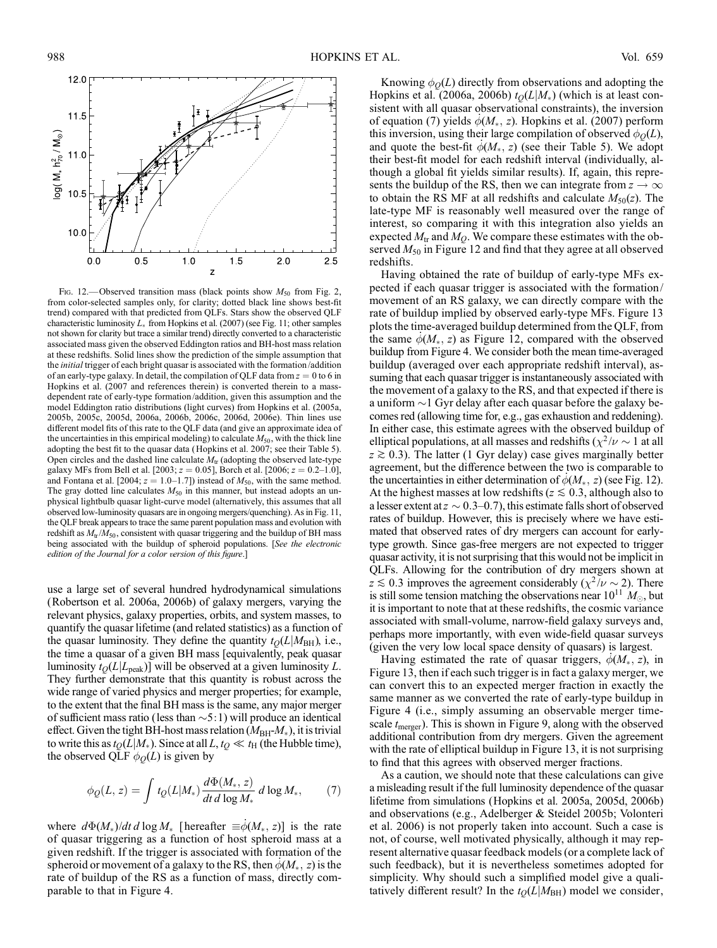

Fig. 12.—Observed transition mass (black points show  $M_{50}$  from Fig. 2, from color-selected samples only, for clarity; dotted black line shows best-fit trend) compared with that predicted from QLFs. Stars show the observed QLF characteristic luminosity  $L_{\ast}$  from Hopkins et al. (2007) (see Fig. 11; other samples not shown for clarity but trace a similar trend) directly converted to a characteristic associated mass given the observed Eddington ratios and BH-host mass relation at these redshifts. Solid lines show the prediction of the simple assumption that the *initial* trigger of each bright quasar is associated with the formation/addition of an early-type galaxy. In detail, the compilation of QLF data from  $z = 0$  to 6 in Hopkins et al. (2007 and references therein) is converted therein to a massdependent rate of early-type formation/addition, given this assumption and the model Eddington ratio distributions (light curves) from Hopkins et al. (2005a, 2005b, 2005c, 2005d, 2006a, 2006b, 2006c, 2006d, 2006e). Thin lines use different model fits of this rate to the QLF data (and give an approximate idea of the uncertainties in this empirical modeling) to calculate  $M_{50}$ , with the thick line adopting the best fit to the quasar data ( Hopkins et al. 2007; see their Table 5). Open circles and the dashed line calculate  $M_{tr}$  (adopting the observed late-type galaxy MFs from Bell et al. [2003;  $z = 0.05$ ], Borch et al. [2006;  $z = 0.2-1.0$ ], and Fontana et al. [2004;  $z = 1.0-1.7$ ]) instead of  $M_{50}$ , with the same method. The gray dotted line calculates  $M_{50}$  in this manner, but instead adopts an unphysical lightbulb quasar light-curve model (alternatively, this assumes that all observed low-luminosity quasars are in ongoing mergers/quenching). As in Fig. 11, the QLF break appears to trace the same parent population mass and evolution with redshift as  $M_{tr}/M_{50}$ , consistent with quasar triggering and the buildup of BH mass being associated with the buildup of spheroid populations. [See the electronic edition of the Journal for a color version of this figure.]

use a large set of several hundred hydrodynamical simulations (Robertson et al. 2006a, 2006b) of galaxy mergers, varying the relevant physics, galaxy properties, orbits, and system masses, to quantify the quasar lifetime (and related statistics) as a function of the quasar luminosity. They define the quantity  $t<sub>O</sub>(L|M<sub>BH</sub>)$ , i.e., the time a quasar of a given BH mass [equivalently, peak quasar luminosity  $t_O(L|L_{peak})$ ] will be observed at a given luminosity L. They further demonstrate that this quantity is robust across the wide range of varied physics and merger properties; for example, to the extent that the final BH mass is the same, any major merger of sufficient mass ratio (less than  $\sim$  5:1) will produce an identical effect. Given the tight BH-host mass relation ( $M_{BH}M_*$ ), it is trivial to write this as  $t_Q(L|M_*)$ . Since at all  $L, t_Q \ll t_H$  (the Hubble time), the observed QLF  $\phi_Q(L)$  is given by

$$
\phi_Q(L, z) = \int t_Q(L|M_*) \frac{d\Phi(M_*, z)}{dt \, d\log M_*} \, d\log M_*,\qquad(7)
$$

where  $d\Phi(M_*)/dt d \log M_*$  [hereafter  $\equiv \dot{\phi}(M_*, z)$ ] is the rate of quasar triggering as a function of host spheroid mass at a given redshift. If the trigger is associated with formation of the spheroid or movement of a galaxy to the RS, then  $\phi(M_*, z)$  is the rate of buildup of the RS as a function of mass, directly comparable to that in Figure 4.

Knowing  $\phi_O(L)$  directly from observations and adopting the Hopkins et al. (2006a, 2006b)  $t<sub>Q</sub>(L|M<sub>*</sub>)$  (which is at least consistent with all quasar observational constraints), the inversion of equation (7) yields  $\phi(M_*, z)$ . Hopkins et al. (2007) perform this inversion, using their large compilation of observed  $\phi_O(L)$ , and quote the best-fit  $\phi(M_*, z)$  (see their Table 5). We adopt their best-fit model for each redshift interval (individually, although a global fit yields similar results). If, again, this represents the buildup of the RS, then we can integrate from  $z \to \infty$ to obtain the RS MF at all redshifts and calculate  $M_{50}(z)$ . The late-type MF is reasonably well measured over the range of interest, so comparing it with this integration also yields an expected  $M_{\text{tr}}$  and  $M_Q$ . We compare these estimates with the observed  $M_{50}$  in Figure 12 and find that they agree at all observed redshifts.

Having obtained the rate of buildup of early-type MFs expected if each quasar trigger is associated with the formation/ movement of an RS galaxy, we can directly compare with the rate of buildup implied by observed early-type MFs. Figure 13 plots the time-averaged buildup determined from the QLF, from the same  $\phi(M_*, z)$  as Figure 12, compared with the observed buildup from Figure 4. We consider both the mean time-averaged buildup (averaged over each appropriate redshift interval), assuming that each quasar trigger is instantaneously associated with the movement of a galaxy to the RS, and that expected if there is a uniform  $\sim$  1 Gyr delay after each quasar before the galaxy becomes red (allowing time for, e.g., gas exhaustion and reddening). In either case, this estimate agrees with the observed buildup of elliptical populations, at all masses and redshifts ( $\chi^2/\nu \sim 1$  at all  $z \ge 0.3$ ). The latter (1 Gyr delay) case gives marginally better agreement, but the difference between the two is comparable to the uncertainties in either determination of  $\dot{\phi}(M_*, z)$  (see Fig. 12). At the highest masses at low redshifts ( $z \le 0.3$ , although also to a lesser extent at  $z \sim 0.3{\text{--}}0.7$ ), this estimate falls short of observed rates of buildup. However, this is precisely where we have estimated that observed rates of dry mergers can account for earlytype growth. Since gas-free mergers are not expected to trigger quasar activity, it is not surprising that this would not be implicit in QLFs. Allowing for the contribution of dry mergers shown at  $z \lesssim 0.3$  improves the agreement considerably ( $\chi^2 / \nu \sim 2$ ). There is still some tension matching the observations near  $10^{11}$   $M_{\odot}$ , but it is important to note that at these redshifts, the cosmic variance associated with small-volume, narrow-field galaxy surveys and, perhaps more importantly, with even wide-field quasar surveys (given the very low local space density of quasars) is largest.

Having estimated the rate of quasar triggers,  $\phi(M_*, z)$ , in Figure 13, then if each such trigger is in fact a galaxy merger, we can convert this to an expected merger fraction in exactly the same manner as we converted the rate of early-type buildup in Figure 4 (i.e., simply assuming an observable merger timescale  $t_{\text{merger}}$ ). This is shown in Figure 9, along with the observed additional contribution from dry mergers. Given the agreement with the rate of elliptical buildup in Figure 13, it is not surprising to find that this agrees with observed merger fractions.

As a caution, we should note that these calculations can give a misleading result if the full luminosity dependence of the quasar lifetime from simulations (Hopkins et al. 2005a, 2005d, 2006b) and observations (e.g., Adelberger & Steidel 2005b; Volonteri et al. 2006) is not properly taken into account. Such a case is not, of course, well motivated physically, although it may represent alternative quasar feedback models (or a complete lack of such feedback), but it is nevertheless sometimes adopted for simplicity. Why should such a simplified model give a qualitatively different result? In the  $t<sub>O</sub>(L|M<sub>BH</sub>)$  model we consider,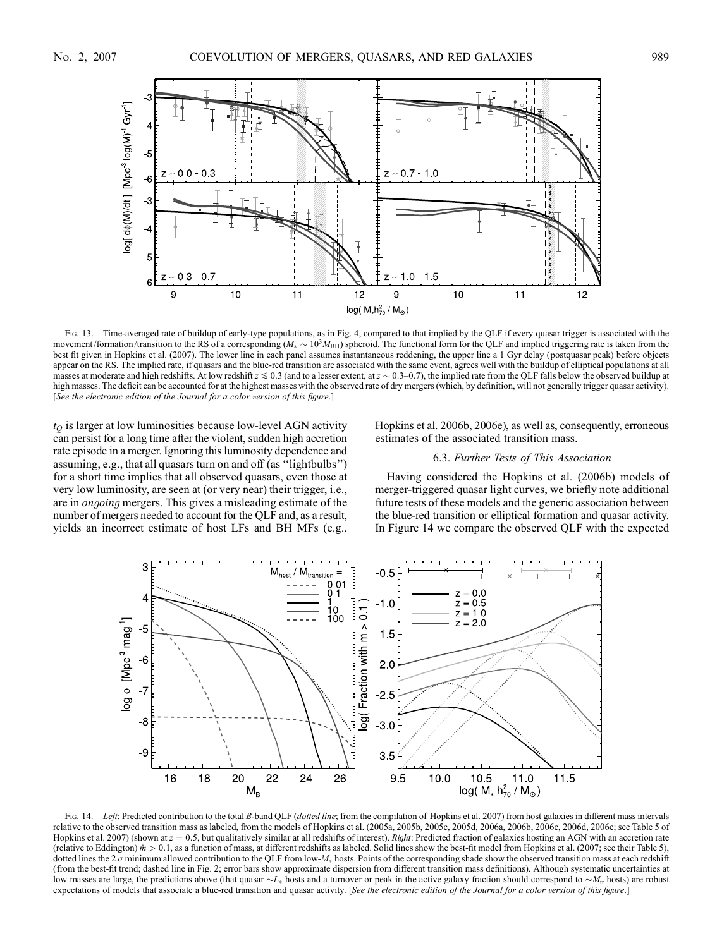

Fig. 13.—Time-averaged rate of buildup of early-type populations, as in Fig. 4, compared to that implied by the QLF if every quasar trigger is associated with the movement/formation/transition to the RS of a corresponding ( $M_* \sim 10^3 M_{\rm BH}$ ) spheroid. The functional form for the QLF and implied triggering rate is taken from the best fit given in Hopkins et al. (2007). The lower line in each panel assumes instantaneous reddening, the upper line a 1 Gyr delay (postquasar peak) before objects appear on the RS. The implied rate, if quasars and the blue-red transition are associated with the same event, agrees well with the buildup of elliptical populations at all masses at moderate and high redshifts. At low redshift  $z \le 0.3$  (and to a lesser extent, at  $z \sim 0.3$  –0.7), the implied rate from the QLF falls below the observed buildup at high masses. The deficit can be accounted for at the highest masses with the observed rate of dry mergers (which, by definition, will not generally trigger quasar activity). [See the electronic edition of the Journal for a color version of this figure.]

 $t<sub>O</sub>$  is larger at low luminosities because low-level AGN activity can persist for a long time after the violent, sudden high accretion rate episode in a merger. Ignoring this luminosity dependence and assuming, e.g., that all quasars turn on and off (as ''lightbulbs'') for a short time implies that all observed quasars, even those at very low luminosity, are seen at (or very near) their trigger, i.e., are in ongoing mergers. This gives a misleading estimate of the number of mergers needed to account for the QLF and, as a result, yields an incorrect estimate of host LFs and BH MFs (e.g., Hopkins et al. 2006b, 2006e), as well as, consequently, erroneous estimates of the associated transition mass.

## 6.3. Further Tests of This Association

Having considered the Hopkins et al. (2006b) models of merger-triggered quasar light curves, we briefly note additional future tests of these models and the generic association between the blue-red transition or elliptical formation and quasar activity. In Figure 14 we compare the observed QLF with the expected



Fig. 14.—Left: Predicted contribution to the total B-band QLF (dotted line; from the compilation of Hopkins et al. 2007) from host galaxies in different mass intervals relative to the observed transition mass as labeled, from the models of Hopkins et al. (2005a, 2005b, 2005c, 2005d, 2006a, 2006b, 2006c, 2006d, 2006e; see Table 5 of Hopkins et al. 2007) (shown at  $z = 0.5$ , but qualitatively similar at all redshifts of interest). Right: Predicted fraction of galaxies hosting an AGN with an accretion rate (relative to Eddington)  $\dot{m} > 0.1$ , as a function of mass, at different redshifts as labeled. Solid lines show the best-fit model from Hopkins et al. (2007; see their Table 5), dotted lines the 2  $\sigma$  minimum allowed contribution to the QLF from low- $M_*$  hosts. Points of the corresponding shade show the observed transition mass at each redshift (from the best-fit trend; dashed line in Fig. 2; error bars show approximate dispersion from different transition mass definitions). Although systematic uncertainties at low masses are large, the predictions above (that quasar  $\sim L_*$  hosts and a turnover or peak in the active galaxy fraction should correspond to  $\sim M_{\rm tr}$  hosts) are robust expectations of models that associate a blue-red transition and quasar activity. [See the electronic edition of the Journal for a color version of this figure.]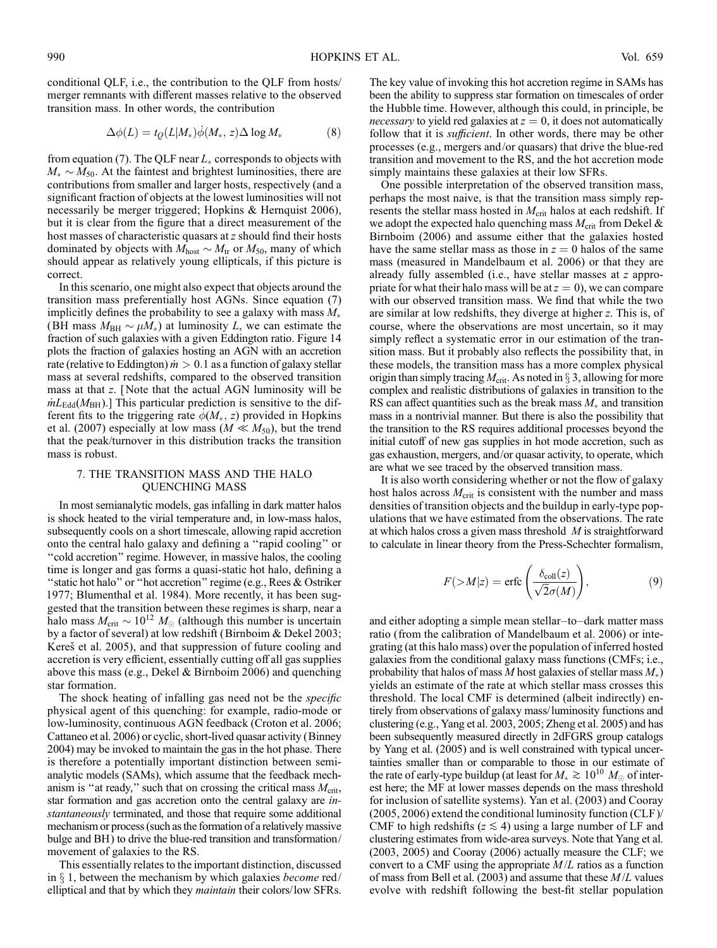conditional QLF, i.e., the contribution to the QLF from hosts/ merger remnants with different masses relative to the observed transition mass. In other words, the contribution

$$
\Delta\phi(L) = t_Q(L|M_*)\dot{\phi}(M_*, z)\Delta\log M_* \tag{8}
$$

from equation (7). The QLF near  $L_{*}$  corresponds to objects with  $M_* \sim M_{50}$ . At the faintest and brightest luminosities, there are contributions from smaller and larger hosts, respectively (and a significant fraction of objects at the lowest luminosities will not necessarily be merger triggered; Hopkins & Hernquist 2006), but it is clear from the figure that a direct measurement of the host masses of characteristic quasars at z should find their hosts dominated by objects with  $M_{\text{host}} \sim M_{\text{tr}}$  or  $M_{50}$ , many of which should appear as relatively young ellipticals, if this picture is correct.

In this scenario, one might also expect that objects around the transition mass preferentially host AGNs. Since equation (7) implicitly defines the probability to see a galaxy with mass  $M_*$ (BH mass  $M_{BH} \sim \mu M_*$ ) at luminosity L, we can estimate the fraction of such galaxies with a given Eddington ratio. Figure 14 plots the fraction of galaxies hosting an AGN with an accretion rate (relative to Eddington)  $\dot{m} > 0.1$  as a function of galaxy stellar mass at several redshifts, compared to the observed transition mass at that z. [Note that the actual AGN luminosity will be  $mL_{\rm Edd}(M_{\rm BH})$ .] This particular prediction is sensitive to the different fits to the triggering rate  $\phi(M_*, z)$  provided in Hopkins et al. (2007) especially at low mass ( $M \ll M_{50}$ ), but the trend that the peak/turnover in this distribution tracks the transition mass is robust.

# 7. THE TRANSITION MASS AND THE HALO QUENCHING MASS

In most semianalytic models, gas infalling in dark matter halos is shock heated to the virial temperature and, in low-mass halos, subsequently cools on a short timescale, allowing rapid accretion onto the central halo galaxy and defining a ''rapid cooling'' or ''cold accretion'' regime. However, in massive halos, the cooling time is longer and gas forms a quasi-static hot halo, defining a "static hot halo" or "hot accretion" regime (e.g., Rees & Ostriker 1977; Blumenthal et al. 1984). More recently, it has been suggested that the transition between these regimes is sharp, near a halo mass  $M_{\rm crit} \sim 10^{12} M_{\odot}$  (although this number is uncertain by a factor of several) at low redshift (Birnboim & Dekel 2003; Kereš et al. 2005), and that suppression of future cooling and accretion is very efficient, essentially cutting off all gas supplies above this mass (e.g., Dekel & Birnboim 2006) and quenching star formation.

The shock heating of infalling gas need not be the *specific* physical agent of this quenching: for example, radio-mode or low-luminosity, continuous AGN feedback (Croton et al. 2006; Cattaneo et al. 2006) or cyclic, short-lived quasar activity (Binney 2004) may be invoked to maintain the gas in the hot phase. There is therefore a potentially important distinction between semianalytic models (SAMs), which assume that the feedback mechanism is "at ready," such that on crossing the critical mass  $M_{\text{crit}}$ , star formation and gas accretion onto the central galaxy are instantaneously terminated, and those that require some additional mechanism or process (such as the formation of a relatively massive bulge and BH) to drive the blue-red transition and transformation/ movement of galaxies to the RS.

This essentially relates to the important distinction, discussed in  $\S$  1, between the mechanism by which galaxies *become* red/ elliptical and that by which they maintain their colors/low SFRs. The key value of invoking this hot accretion regime in SAMs has been the ability to suppress star formation on timescales of order the Hubble time. However, although this could, in principle, be *necessary* to yield red galaxies at  $z = 0$ , it does not automatically follow that it is *sufficient*. In other words, there may be other processes (e.g., mergers and/or quasars) that drive the blue-red transition and movement to the RS, and the hot accretion mode simply maintains these galaxies at their low SFRs.

One possible interpretation of the observed transition mass, perhaps the most naive, is that the transition mass simply represents the stellar mass hosted in  $M_{\text{crit}}$  halos at each redshift. If we adopt the expected halo quenching mass  $M_{\text{crit}}$  from Dekel & Birnboim (2006) and assume either that the galaxies hosted have the same stellar mass as those in  $z = 0$  halos of the same mass (measured in Mandelbaum et al. 2006) or that they are already fully assembled (i.e., have stellar masses at z appropriate for what their halo mass will be at  $z = 0$ ), we can compare with our observed transition mass. We find that while the two are similar at low redshifts, they diverge at higher z. This is, of course, where the observations are most uncertain, so it may simply reflect a systematic error in our estimation of the transition mass. But it probably also reflects the possibility that, in these models, the transition mass has a more complex physical origin than simply tracing  $M_{\text{crit}}$ . As noted in § 3, allowing for more complex and realistic distributions of galaxies in transition to the RS can affect quantities such as the break mass  $M_*$  and transition mass in a nontrivial manner. But there is also the possibility that the transition to the RS requires additional processes beyond the initial cutoff of new gas supplies in hot mode accretion, such as gas exhaustion, mergers, and/or quasar activity, to operate, which are what we see traced by the observed transition mass.

It is also worth considering whether or not the flow of galaxy host halos across  $M_{\text{crit}}$  is consistent with the number and mass densities of transition objects and the buildup in early-type populations that we have estimated from the observations. The rate at which halos cross a given mass threshold M is straightforward to calculate in linear theory from the Press-Schechter formalism,

$$
F(>M|z) = \text{erfc}\left(\frac{\delta_{\text{coll}}(z)}{\sqrt{2}\sigma(M)}\right),\tag{9}
$$

and either adopting a simple mean stellar-to-dark matter mass ratio (from the calibration of Mandelbaum et al. 2006) or integrating (at this halo mass) over the population of inferred hosted galaxies from the conditional galaxy mass functions (CMFs; i.e., probability that halos of mass M host galaxies of stellar mass  $M_*$ ) yields an estimate of the rate at which stellar mass crosses this threshold. The local CMF is determined (albeit indirectly) entirely from observations of galaxy mass/luminosity functions and clustering (e.g., Yang et al. 2003, 2005; Zheng et al. 2005) and has been subsequently measured directly in 2dFGRS group catalogs by Yang et al. (2005) and is well constrained with typical uncertainties smaller than or comparable to those in our estimate of the rate of early-type buildup (at least for  $M_* \approx 10^{10} M_{\odot}$  of interest here; the MF at lower masses depends on the mass threshold for inclusion of satellite systems). Yan et al. (2003) and Cooray (2005, 2006) extend the conditional luminosity function (CLF )/ CMF to high redshifts ( $z \le 4$ ) using a large number of LF and clustering estimates from wide-area surveys. Note that Yang et al. (2003, 2005) and Cooray (2006) actually measure the CLF; we convert to a CMF using the appropriate  $M/L$  ratios as a function of mass from Bell et al. (2003) and assume that these  $M/L$  values evolve with redshift following the best-fit stellar population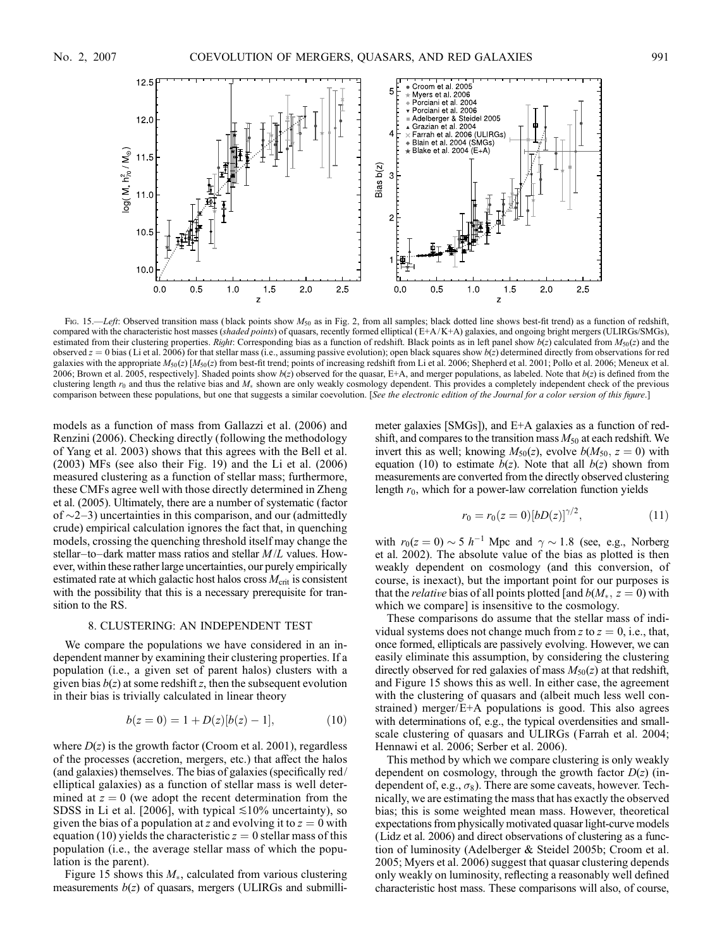

Fig. 15.—Left: Observed transition mass (black points show  $M_{50}$  as in Fig. 2, from all samples; black dotted line shows best-fit trend) as a function of redshift, compared with the characteristic host masses (shaded points) of quasars, recently formed elliptical  $(E+A/K+A)$  galaxies, and ongoing bright mergers (ULIRGs/SMGs), estimated from their clustering properties. Right: Corresponding bias as a function of redshift. Black points as in left panel show  $b(z)$  calculated from  $M_{50}(z)$  and the observed  $z = 0$  bias (Li et al. 2006) for that stellar mass (i.e., assuming passive evolution); open black squares show  $b(z)$  determined directly from observations for red galaxies with the appropriate  $M_{50}(z)$  [ $M_{50}(z)$  from best-fit trend; points of increasing redshift from Li et al. 2006; Shepherd et al. 2001; Pollo et al. 2006; Meneux et al. 2006; Brown et al. 2005, respectively]. Shaded points show  $b(z)$  observed for the quasar, E+A, and merger populations, as labeled. Note that  $b(z)$  is defined from the clustering length  $r_0$  and thus the relative bias and  $M_*$  shown are only weakly cosmology dependent. This provides a completely independent check of the previous comparison between these populations, but one that suggests a similar coevolution. [See the electronic edition of the Journal for a color version of this figure.]

models as a function of mass from Gallazzi et al. (2006) and Renzini (2006). Checking directly (following the methodology of Yang et al. 2003) shows that this agrees with the Bell et al. (2003) MFs (see also their Fig. 19) and the Li et al. (2006) measured clustering as a function of stellar mass; furthermore, these CMFs agree well with those directly determined in Zheng et al. (2005). Ultimately, there are a number of systematic (factor of  $\sim$ 2-3) uncertainties in this comparison, and our (admittedly crude) empirical calculation ignores the fact that, in quenching models, crossing the quenching threshold itself may change the stellar-to-dark matter mass ratios and stellar  $M / L$  values. However, within these rather large uncertainties, our purely empirically estimated rate at which galactic host halos cross  $M_{\text{crit}}$  is consistent with the possibility that this is a necessary prerequisite for transition to the RS.

#### 8. CLUSTERING: AN INDEPENDENT TEST

We compare the populations we have considered in an independent manner by examining their clustering properties. If a population (i.e., a given set of parent halos) clusters with a given bias  $b(z)$  at some redshift z, then the subsequent evolution in their bias is trivially calculated in linear theory

$$
b(z=0) = 1 + D(z)[b(z) - 1],
$$
 (10)

where  $D(z)$  is the growth factor (Croom et al. 2001), regardless of the processes (accretion, mergers, etc.) that affect the halos (and galaxies) themselves. The bias of galaxies (specifically red/ elliptical galaxies) as a function of stellar mass is well determined at  $z = 0$  (we adopt the recent determination from the SDSS in Li et al. [2006], with typical  $\leq 10\%$  uncertainty), so given the bias of a population at z and evolving it to  $z = 0$  with equation (10) yields the characteristic  $z = 0$  stellar mass of this population (i.e., the average stellar mass of which the population is the parent).

Figure 15 shows this  $M_*$ , calculated from various clustering measurements  $b(z)$  of quasars, mergers (ULIRGs and submillimeter galaxies [SMGs]), and E+A galaxies as a function of redshift, and compares to the transition mass  $M_{50}$  at each redshift. We invert this as well; knowing  $M_{50}(z)$ , evolve  $b(M_{50}, z = 0)$  with equation (10) to estimate  $b(z)$ . Note that all  $b(z)$  shown from measurements are converted from the directly observed clustering length  $r_0$ , which for a power-law correlation function yields

$$
r_0 = r_0(z=0)[bD(z)]^{\gamma/2}, \qquad (11)
$$

with  $r_0(z=0) \sim 5 h^{-1}$  Mpc and  $\gamma \sim 1.8$  (see, e.g., Norberg et al. 2002). The absolute value of the bias as plotted is then weakly dependent on cosmology (and this conversion, of course, is inexact), but the important point for our purposes is that the *relative* bias of all points plotted [and  $b(M_*, z = 0)$  with which we compare] is insensitive to the cosmology.

These comparisons do assume that the stellar mass of individual systems does not change much from z to  $z = 0$ , i.e., that, once formed, ellipticals are passively evolving. However, we can easily eliminate this assumption, by considering the clustering directly observed for red galaxies of mass  $M_{50}(z)$  at that redshift, and Figure 15 shows this as well. In either case, the agreement with the clustering of quasars and (albeit much less well constrained) merger/E+A populations is good. This also agrees with determinations of, e.g., the typical overdensities and smallscale clustering of quasars and ULIRGs (Farrah et al. 2004; Hennawi et al. 2006; Serber et al. 2006).

This method by which we compare clustering is only weakly dependent on cosmology, through the growth factor  $D(z)$  (independent of, e.g.,  $\sigma_8$ ). There are some caveats, however. Technically, we are estimating the mass that has exactly the observed bias; this is some weighted mean mass. However, theoretical expectations from physically motivated quasar light-curve models (Lidz et al. 2006) and direct observations of clustering as a function of luminosity (Adelberger & Steidel 2005b; Croom et al. 2005; Myers et al. 2006) suggest that quasar clustering depends only weakly on luminosity, reflecting a reasonably well defined characteristic host mass. These comparisons will also, of course,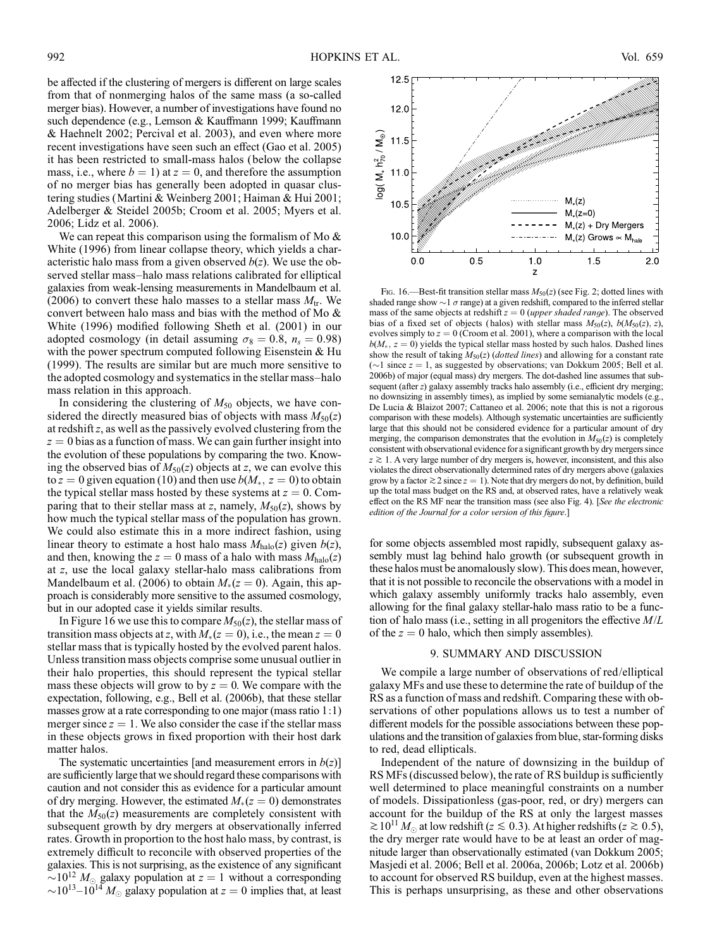be affected if the clustering of mergers is different on large scales from that of nonmerging halos of the same mass (a so-called merger bias). However, a number of investigations have found no such dependence (e.g., Lemson & Kauffmann 1999; Kauffmann & Haehnelt 2002; Percival et al. 2003), and even where more recent investigations have seen such an effect (Gao et al. 2005) it has been restricted to small-mass halos (below the collapse mass, i.e., where  $b = 1$ ) at  $z = 0$ , and therefore the assumption of no merger bias has generally been adopted in quasar clustering studies (Martini & Weinberg 2001; Haiman & Hui 2001; Adelberger & Steidel 2005b; Croom et al. 2005; Myers et al. 2006; Lidz et al. 2006).

We can repeat this comparison using the formalism of Mo  $\&$ White (1996) from linear collapse theory, which yields a characteristic halo mass from a given observed  $b(z)$ . We use the observed stellar mass-halo mass relations calibrated for elliptical galaxies from weak-lensing measurements in Mandelbaum et al. (2006) to convert these halo masses to a stellar mass  $M_{tr}$ . We convert between halo mass and bias with the method of Mo & White (1996) modified following Sheth et al. (2001) in our adopted cosmology (in detail assuming  $\sigma_8 = 0.8$ ,  $n_s = 0.98$ ) with the power spectrum computed following Eisenstein  $&$  Hu (1999). The results are similar but are much more sensitive to the adopted cosmology and systematics in the stellar mass-halo mass relation in this approach.

In considering the clustering of  $M_{50}$  objects, we have considered the directly measured bias of objects with mass  $M_{50}(z)$ at redshiftz, as well as the passively evolved clustering from the  $z = 0$  bias as a function of mass. We can gain further insight into the evolution of these populations by comparing the two. Knowing the observed bias of  $M_{50}(z)$  objects at z, we can evolve this to  $z = 0$  given equation (10) and then use  $b(M_*, z = 0)$  to obtain the typical stellar mass hosted by these systems at  $z = 0$ . Comparing that to their stellar mass at z, namely,  $M_{50}(z)$ , shows by how much the typical stellar mass of the population has grown. We could also estimate this in a more indirect fashion, using linear theory to estimate a host halo mass  $M_{halo}(z)$  given  $b(z)$ , and then, knowing the  $z = 0$  mass of a halo with mass  $M_{halo}(z)$ at z, use the local galaxy stellar-halo mass calibrations from Mandelbaum et al. (2006) to obtain  $M_*(z = 0)$ . Again, this approach is considerably more sensitive to the assumed cosmology, but in our adopted case it yields similar results.

In Figure 16 we use this to compare  $M_{50}(z)$ , the stellar mass of transition mass objects at z, with  $M_*(z = 0)$ , i.e., the mean  $z = 0$ stellar mass that is typically hosted by the evolved parent halos. Unless transition mass objects comprise some unusual outlier in their halo properties, this should represent the typical stellar mass these objects will grow to by  $z = 0$ . We compare with the expectation, following, e.g., Bell et al. (2006b), that these stellar masses grow at a rate corresponding to one major (mass ratio 1:1) merger since  $z = 1$ . We also consider the case if the stellar mass in these objects grows in fixed proportion with their host dark matter halos.

The systematic uncertainties [and measurement errors in  $b(z)$ ] are sufficiently large that we should regard these comparisons with caution and not consider this as evidence for a particular amount of dry merging. However, the estimated  $M_*(z = 0)$  demonstrates that the  $M_{50}(z)$  measurements are completely consistent with subsequent growth by dry mergers at observationally inferred rates. Growth in proportion to the host halo mass, by contrast, is extremely difficult to reconcile with observed properties of the galaxies. This is not surprising, as the existence of any significant  $\sim 10^{12} M_{\odot}$  galaxy population at  $z = 1$  without a corresponding  $\sim$ 10<sup>13</sup>–10<sup>14</sup> M<sub>o</sub> galaxy population at  $z = 0$  implies that, at least



Fig. 16.—Best-fit transition stellar mass  $M_{50}(z)$  (see Fig. 2; dotted lines with shaded range show  $\sim$  1  $\sigma$  range) at a given redshift, compared to the inferred stellar mass of the same objects at redshift  $z = 0$  (upper shaded range). The observed bias of a fixed set of objects (halos) with stellar mass  $M_{50}(z)$ ,  $b(M_{50}(z), z)$ , evolves simply to  $z = 0$  (Croom et al. 2001), where a comparison with the local  $b(M_*$ ,  $z = 0$ ) yields the typical stellar mass hosted by such halos. Dashed lines show the result of taking  $M_{50}(z)$  (dotted lines) and allowing for a constant rate ( $\sim$ 1 since  $z = 1$ , as suggested by observations; van Dokkum 2005; Bell et al. 2006b) of major (equal mass) dry mergers. The dot-dashed line assumes that subsequent (after z) galaxy assembly tracks halo assembly (i.e., efficient dry merging; no downsizing in assembly times), as implied by some semianalytic models (e.g., De Lucia & Blaizot 2007; Cattaneo et al. 2006; note that this is not a rigorous comparison with these models). Although systematic uncertainties are sufficiently large that this should not be considered evidence for a particular amount of dry merging, the comparison demonstrates that the evolution in  $M_{50}(z)$  is completely consistent with observational evidence for a significant growth by dry mergers since  $z \gtrsim 1$ . A very large number of dry mergers is, however, inconsistent, and this also violates the direct observationally determined rates of dry mergers above (galaxies grow by a factor  $\gtrsim$  2 since  $z = 1$ ). Note that dry mergers do not, by definition, build up the total mass budget on the RS and, at observed rates, have a relatively weak effect on the RS MF near the transition mass (see also Fig. 4). [See the electronic edition of the Journal for a color version of this figure.]

for some objects assembled most rapidly, subsequent galaxy assembly must lag behind halo growth (or subsequent growth in these halos must be anomalously slow). This does mean, however, that it is not possible to reconcile the observations with a model in which galaxy assembly uniformly tracks halo assembly, even allowing for the final galaxy stellar-halo mass ratio to be a function of halo mass (i.e., setting in all progenitors the effective  $M/L$ of the  $z = 0$  halo, which then simply assembles).

#### 9. SUMMARY AND DISCUSSION

We compile a large number of observations of red/elliptical galaxy MFs and use these to determine the rate of buildup of the RS as a function of mass and redshift. Comparing these with observations of other populations allows us to test a number of different models for the possible associations between these populations and the transition of galaxies from blue, star-forming disks to red, dead ellipticals.

Independent of the nature of downsizing in the buildup of RS MFs (discussed below), the rate of RS buildup is sufficiently well determined to place meaningful constraints on a number of models. Dissipationless (gas-poor, red, or dry) mergers can account for the buildup of the RS at only the largest masses  $\gtrsim 10^{11} M_{\odot}$  at low redshift ( $z \lesssim 0.3$ ). At higher redshifts ( $z \gtrsim 0.5$ ), the dry merger rate would have to be at least an order of magnitude larger than observationally estimated (van Dokkum 2005; Masjedi et al. 2006; Bell et al. 2006a, 2006b; Lotz et al. 2006b) to account for observed RS buildup, even at the highest masses. This is perhaps unsurprising, as these and other observations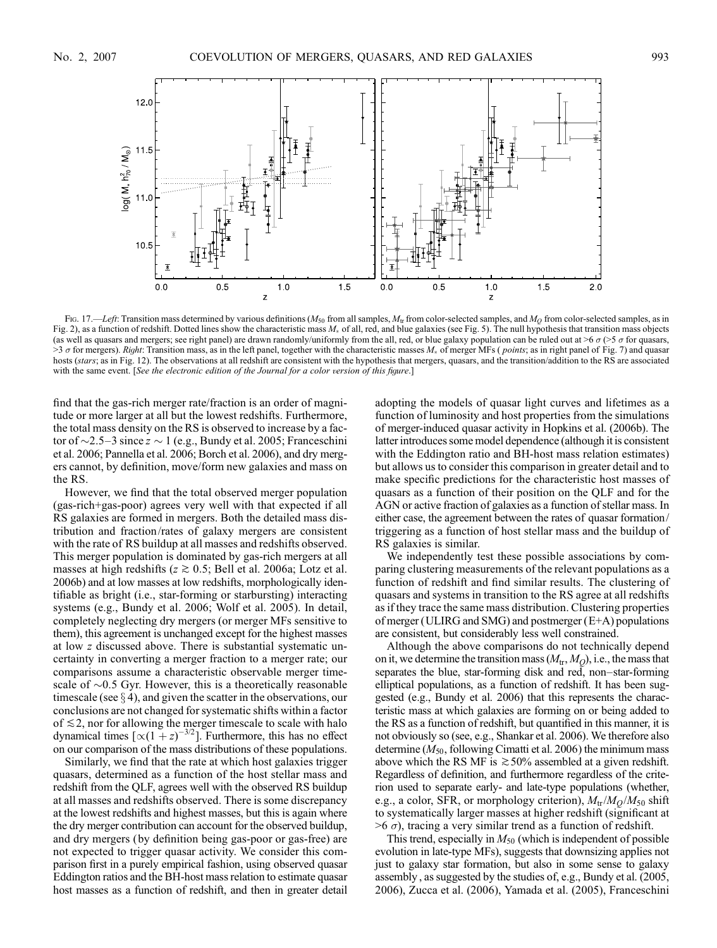

Fig. 17.—Left: Transition mass determined by various definitions ( $M_{50}$  from all samples,  $M_{\rm tr}$  from color-selected samples, and  $M_{\rm Q}$  from color-selected samples, as in Fig. 2), as a function of redshift. Dotted lines show the characteristic mass  $M_*$  of all, red, and blue galaxies (see Fig. 5). The null hypothesis that transition mass objects (as well as quasars and mergers; see right panel) are drawn randomly/uniformly from the all, red, or blue galaxy population can be ruled out at >6  $\sigma$  (>5  $\sigma$  for quasars, >3  $\sigma$  for mergers). Right: Transition mass, as in the left panel, together with the characteristic masses  $M_*$  of merger MFs (*points*; as in right panel of Fig. 7) and quasar hosts (stars; as in Fig. 12). The observations at all redshift are consistent with the hypothesis that mergers, quasars, and the transition/addition to the RS are associated with the same event. [See the electronic edition of the Journal for a color version of this figure.]

find that the gas-rich merger rate/fraction is an order of magnitude or more larger at all but the lowest redshifts. Furthermore, the total mass density on the RS is observed to increase by a factor of  $\sim$ 2.5–3 since  $\bar{z} \sim 1$  (e.g., Bundy et al. 2005; Franceschini et al. 2006; Pannella et al. 2006; Borch et al. 2006), and dry mergers cannot, by definition, move/form new galaxies and mass on the RS.

However, we find that the total observed merger population (gas-rich+gas-poor) agrees very well with that expected if all RS galaxies are formed in mergers. Both the detailed mass distribution and fraction/rates of galaxy mergers are consistent with the rate of RS buildup at all masses and redshifts observed. This merger population is dominated by gas-rich mergers at all masses at high redshifts ( $z \ge 0.5$ ; Bell et al. 2006a; Lotz et al. 2006b) and at low masses at low redshifts, morphologically identifiable as bright (i.e., star-forming or starbursting) interacting systems (e.g., Bundy et al. 2006; Wolf et al. 2005). In detail, completely neglecting dry mergers (or merger MFs sensitive to them), this agreement is unchanged except for the highest masses at low z discussed above. There is substantial systematic uncertainty in converting a merger fraction to a merger rate; our comparisons assume a characteristic observable merger timescale of  $\sim$ 0.5 Gyr. However, this is a theoretically reasonable timescale (see  $\S$  4), and given the scatter in the observations, our conclusions are not changed for systematic shifts within a factor of  $\leq$  2, nor for allowing the merger timescale to scale with halo dynamical times  $[\propto (1 + z)^{-3/2}]$ . Furthermore, this has no effect on our comparison of the mass distributions of these populations.

Similarly, we find that the rate at which host galaxies trigger quasars, determined as a function of the host stellar mass and redshift from the QLF, agrees well with the observed RS buildup at all masses and redshifts observed. There is some discrepancy at the lowest redshifts and highest masses, but this is again where the dry merger contribution can account for the observed buildup, and dry mergers (by definition being gas-poor or gas-free) are not expected to trigger quasar activity. We consider this comparison first in a purely empirical fashion, using observed quasar Eddington ratios and the BH-host mass relation to estimate quasar host masses as a function of redshift, and then in greater detail adopting the models of quasar light curves and lifetimes as a function of luminosity and host properties from the simulations of merger-induced quasar activity in Hopkins et al. (2006b). The latter introduces some model dependence (although it is consistent with the Eddington ratio and BH-host mass relation estimates) but allows us to consider this comparison in greater detail and to make specific predictions for the characteristic host masses of quasars as a function of their position on the QLF and for the AGN or active fraction of galaxies as a function of stellar mass. In either case, the agreement between the rates of quasar formation/ triggering as a function of host stellar mass and the buildup of RS galaxies is similar.

We independently test these possible associations by comparing clustering measurements of the relevant populations as a function of redshift and find similar results. The clustering of quasars and systems in transition to the RS agree at all redshifts as if they trace the same mass distribution. Clustering properties of merger (ULIRG and SMG) and postmerger (E+A) populations are consistent, but considerably less well constrained.

Although the above comparisons do not technically depend on it, we determine the transition mass  $(M_{tr}, M_{O})$ , i.e., the mass that separates the blue, star-forming disk and red, non-star-forming elliptical populations, as a function of redshift. It has been suggested (e.g., Bundy et al. 2006) that this represents the characteristic mass at which galaxies are forming on or being added to the RS as a function of redshift, but quantified in this manner, it is not obviously so (see, e.g., Shankar et al. 2006). We therefore also determine ( $M_{50}$ , following Cimatti et al. 2006) the minimum mass above which the RS MF is  $\geq 50\%$  assembled at a given redshift. Regardless of definition, and furthermore regardless of the criterion used to separate early- and late-type populations (whether, e.g., a color, SFR, or morphology criterion),  $M_{\text{tr}}/M_{\text{O}}/M_{50}$  shift to systematically larger masses at higher redshift (significant at  $>6 \sigma$ ), tracing a very similar trend as a function of redshift.

This trend, especially in  $M_{50}$  (which is independent of possible evolution in late-type MFs), suggests that downsizing applies not just to galaxy star formation, but also in some sense to galaxy assembly , as suggested by the studies of, e.g., Bundy et al. (2005, 2006), Zucca et al. (2006), Yamada et al. (2005), Franceschini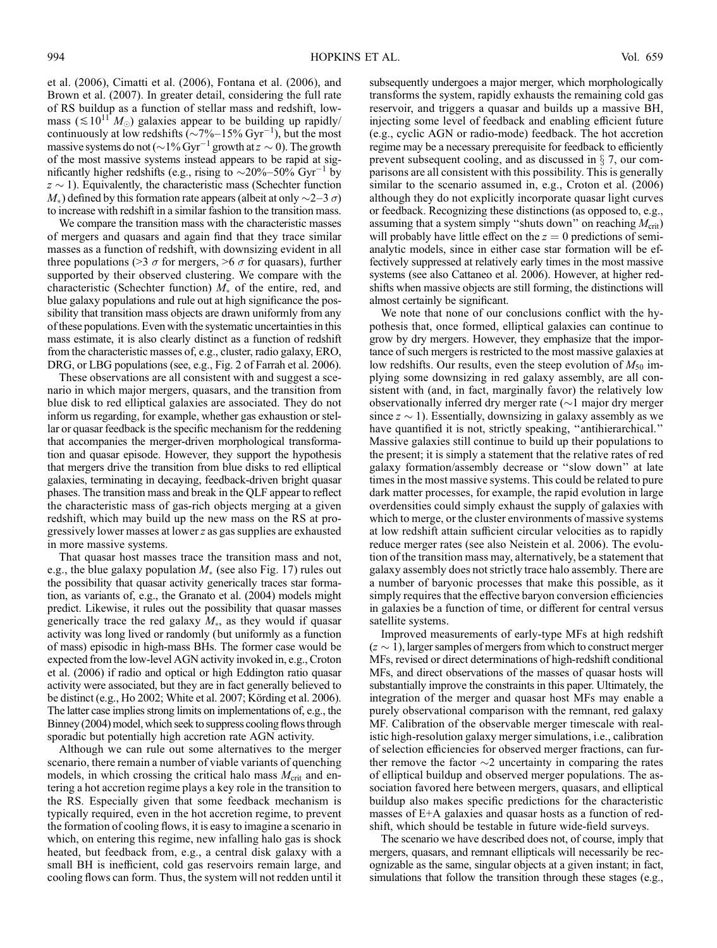et al. (2006), Cimatti et al. (2006), Fontana et al. (2006), and Brown et al. (2007). In greater detail, considering the full rate of RS buildup as a function of stellar mass and redshift, lowmass ( $\leq 10^{11} M_{\odot}$ ) galaxies appear to be building up rapidly/ continuously at low redshifts  $(\sim 7\%-15\% \text{ Gyr}^{-1})$ , but the most massive systems do not ( $\sim$  1% Gyr<sup>-1</sup> growth at  $z \sim 0$ ). The growth of the most massive systems instead appears to be rapid at significantly higher redshifts (e.g., rising to  $\sim$ 20%-50% Gyr<sup>-1</sup> by  $z \sim 1$ ). Equivalently, the characteristic mass (Schechter function  $M_*$ ) defined by this formation rate appears (albeit at only  $\sim$  2–3  $\sigma$ ) to increase with redshift in a similar fashion to the transition mass.

We compare the transition mass with the characteristic masses of mergers and quasars and again find that they trace similar masses as a function of redshift, with downsizing evident in all three populations (>3  $\sigma$  for mergers, >6  $\sigma$  for quasars), further supported by their observed clustering. We compare with the characteristic (Schechter function)  $M_*$  of the entire, red, and blue galaxy populations and rule out at high significance the possibility that transition mass objects are drawn uniformly from any of these populations. Even with the systematic uncertainties in this mass estimate, it is also clearly distinct as a function of redshift from the characteristic masses of, e.g., cluster, radio galaxy, ERO, DRG, or LBG populations (see, e.g., Fig. 2 of Farrah et al. 2006).

These observations are all consistent with and suggest a scenario in which major mergers, quasars, and the transition from blue disk to red elliptical galaxies are associated. They do not inform us regarding, for example, whether gas exhaustion or stellar or quasar feedback is the specific mechanism for the reddening that accompanies the merger-driven morphological transformation and quasar episode. However, they support the hypothesis that mergers drive the transition from blue disks to red elliptical galaxies, terminating in decaying, feedback-driven bright quasar phases. The transition mass and break in the QLF appear to reflect the characteristic mass of gas-rich objects merging at a given redshift, which may build up the new mass on the RS at progressively lower masses at lowerz as gas supplies are exhausted in more massive systems.

That quasar host masses trace the transition mass and not, e.g., the blue galaxy population  $M_*$  (see also Fig. 17) rules out the possibility that quasar activity generically traces star formation, as variants of, e.g., the Granato et al. (2004) models might predict. Likewise, it rules out the possibility that quasar masses generically trace the red galaxy  $M_*$ , as they would if quasar activity was long lived or randomly (but uniformly as a function of mass) episodic in high-mass BHs. The former case would be expected from the low-level AGN activity invoked in, e.g., Croton et al. (2006) if radio and optical or high Eddington ratio quasar activity were associated, but they are in fact generally believed to be distinct (e.g., Ho 2002; White et al. 2007; Körding et al. 2006). The latter case implies strong limits on implementations of, e.g., the Binney (2004) model, which seek to suppress cooling flows through sporadic but potentially high accretion rate AGN activity.

Although we can rule out some alternatives to the merger scenario, there remain a number of viable variants of quenching models, in which crossing the critical halo mass  $M_{\text{crit}}$  and entering a hot accretion regime plays a key role in the transition to the RS. Especially given that some feedback mechanism is typically required, even in the hot accretion regime, to prevent the formation of cooling flows, it is easy to imagine a scenario in which, on entering this regime, new infalling halo gas is shock heated, but feedback from, e.g., a central disk galaxy with a small BH is inefficient, cold gas reservoirs remain large, and cooling flows can form. Thus, the system will not redden until it

subsequently undergoes a major merger, which morphologically transforms the system, rapidly exhausts the remaining cold gas reservoir, and triggers a quasar and builds up a massive BH, injecting some level of feedback and enabling efficient future (e.g., cyclic AGN or radio-mode) feedback. The hot accretion regime may be a necessary prerequisite for feedback to efficiently prevent subsequent cooling, and as discussed in  $\S$  7, our comparisons are all consistent with this possibility. This is generally similar to the scenario assumed in, e.g., Croton et al. (2006) although they do not explicitly incorporate quasar light curves or feedback. Recognizing these distinctions (as opposed to, e.g., assuming that a system simply "shuts down" on reaching  $M_{\text{crit}}$ ) will probably have little effect on the  $z = 0$  predictions of semianalytic models, since in either case star formation will be effectively suppressed at relatively early times in the most massive systems (see also Cattaneo et al. 2006). However, at higher redshifts when massive objects are still forming, the distinctions will almost certainly be significant.

We note that none of our conclusions conflict with the hypothesis that, once formed, elliptical galaxies can continue to grow by dry mergers. However, they emphasize that the importance of such mergers is restricted to the most massive galaxies at low redshifts. Our results, even the steep evolution of  $M_{50}$  implying some downsizing in red galaxy assembly, are all consistent with (and, in fact, marginally favor) the relatively low observationally inferred dry merger rate  $(\sim)1$  major dry merger since  $z \sim 1$ ). Essentially, downsizing in galaxy assembly as we have quantified it is not, strictly speaking, "antihierarchical." Massive galaxies still continue to build up their populations to the present; it is simply a statement that the relative rates of red galaxy formation/assembly decrease or ''slow down'' at late times in the most massive systems. This could be related to pure dark matter processes, for example, the rapid evolution in large overdensities could simply exhaust the supply of galaxies with which to merge, or the cluster environments of massive systems at low redshift attain sufficient circular velocities as to rapidly reduce merger rates (see also Neistein et al. 2006). The evolution of the transition mass may, alternatively, be a statement that galaxy assembly does not strictly trace halo assembly. There are a number of baryonic processes that make this possible, as it simply requires that the effective baryon conversion efficiencies in galaxies be a function of time, or different for central versus satellite systems.

Improved measurements of early-type MFs at high redshift  $(z \sim 1)$ , larger samples of mergers from which to construct merger MFs, revised or direct determinations of high-redshift conditional MFs, and direct observations of the masses of quasar hosts will substantially improve the constraints in this paper. Ultimately, the integration of the merger and quasar host MFs may enable a purely observational comparison with the remnant, red galaxy MF. Calibration of the observable merger timescale with realistic high-resolution galaxy merger simulations, i.e., calibration of selection efficiencies for observed merger fractions, can further remove the factor  $\sim$ 2 uncertainty in comparing the rates of elliptical buildup and observed merger populations. The association favored here between mergers, quasars, and elliptical buildup also makes specific predictions for the characteristic masses of E+A galaxies and quasar hosts as a function of redshift, which should be testable in future wide-field surveys.

The scenario we have described does not, of course, imply that mergers, quasars, and remnant ellipticals will necessarily be recognizable as the same, singular objects at a given instant; in fact, simulations that follow the transition through these stages (e.g.,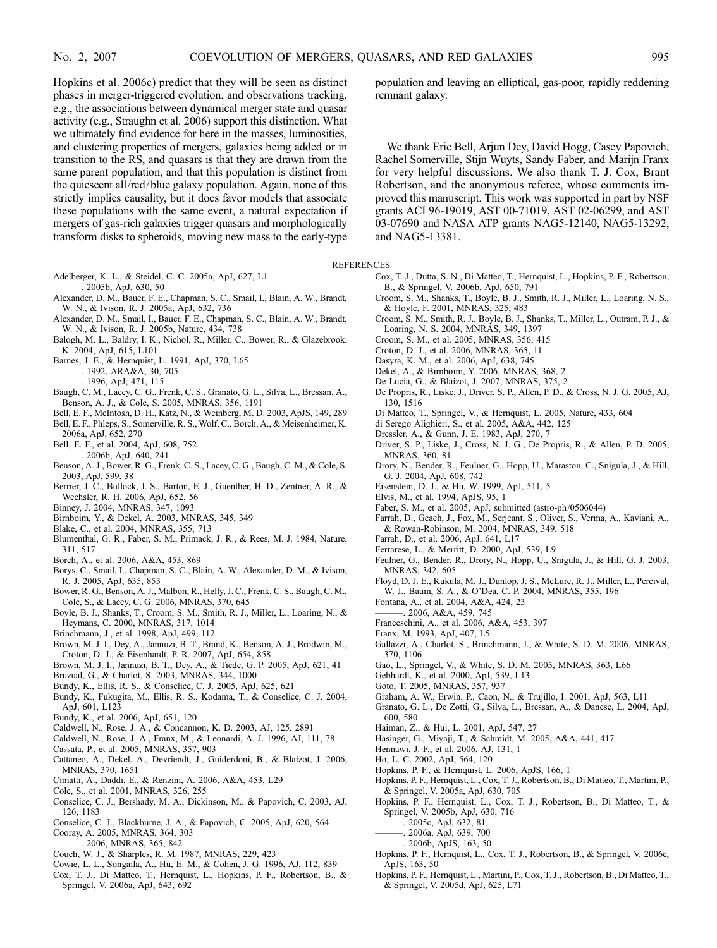Hopkins et al. 2006c) predict that they will be seen as distinct phases in merger-triggered evolution, and observations tracking, e.g., the associations between dynamical merger state and quasar activity (e.g., Straughn et al. 2006) support this distinction. What we ultimately find evidence for here in the masses, luminosities, and clustering properties of mergers, galaxies being added or in transition to the RS, and quasars is that they are drawn from the same parent population, and that this population is distinct from the quiescent all/red/blue galaxy population. Again, none of this strictly implies causality, but it does favor models that associate these populations with the same event, a natural expectation if mergers of gas-rich galaxies trigger quasars and morphologically transform disks to spheroids, moving new mass to the early-type

- Adelberger, K. L., & Steidel, C. C. 2005a, ApJ, 627, L1 ———. 2005b, ApJ, 630, 50
- Alexander, D. M., Bauer, F. E., Chapman, S. C., Smail, I., Blain, A. W., Brandt, W. N., & Ivison, R. J. 2005a, ApJ, 632, 736
- Alexander, D. M., Smail, I., Bauer, F. E., Chapman, S. C., Blain, A. W., Brandt, W. N., & Ivison, R. J. 2005b, Nature, 434, 738
- Balogh, M. L., Baldry, I. K., Nichol, R., Miller, C., Bower, R., & Glazebrook, K. 2004, ApJ, 615, L101
- Barnes, J. E., & Hernquist, L. 1991, ApJ, 370, L65
- ———. 1992, ARA&A, 30, 705
- ———. 1996, ApJ, 471, 115
- Baugh, C. M., Lacey, C. G., Frenk, C. S., Granato, G. L., Silva, L., Bressan, A., Benson, A. J., & Cole, S. 2005, MNRAS, 356, 1191
- Bell, E. F., McIntosh, D. H., Katz, N., & Weinberg, M. D. 2003, ApJS, 149, 289
- Bell, E. F., Phleps, S., Somerville, R. S., Wolf, C., Borch, A., & Meisenheimer, K. 2006a, ApJ, 652, 270
- Bell, E. F., et al. 2004, ApJ, 608, 752
- $-$ , 2006b, ApJ, 640, 241
- Benson, A. J., Bower, R. G., Frenk, C. S., Lacey, C. G., Baugh, C. M., & Cole, S. 2003, ApJ, 599, 38
- Berrier, J. C., Bullock, J. S., Barton, E. J., Guenther, H. D., Zentner, A. R., & Wechsler, R. H. 2006, ApJ, 652, 56
- Binney, J. 2004, MNRAS, 347, 1093
- Birnboim, Y., & Dekel, A. 2003, MNRAS, 345, 349
- Blake, C., et al. 2004, MNRAS, 355, 713
- Blumenthal, G. R., Faber, S. M., Primack, J. R., & Rees, M. J. 1984, Nature, 311, 517
- Borch, A., et al. 2006, A&A, 453, 869
- Borys, C., Smail, I., Chapman, S. C., Blain, A. W., Alexander, D. M., & Ivison, R. J. 2005, ApJ, 635, 853
- Bower, R. G., Benson, A. J., Malbon, R., Helly, J. C., Frenk, C. S., Baugh, C. M., Cole, S., & Lacey, C. G. 2006, MNRAS, 370, 645
- Boyle, B. J., Shanks, T., Croom, S. M., Smith, R. J., Miller, L., Loaring, N., & Heymans, C. 2000, MNRAS, 317, 1014
- Brinchmann, J., et al. 1998, ApJ, 499, 112
- Brown, M. J. I., Dey, A., Jannuzi, B. T., Brand, K., Benson, A. J., Brodwin, M., Croton, D. J., & Eisenhardt, P. R. 2007, ApJ, 654, 858
- Brown, M. J. I., Jannuzi, B. T., Dey, A., & Tiede, G. P. 2005, ApJ, 621, 41
- Bruzual, G., & Charlot, S. 2003, MNRAS, 344, 1000
- Bundy, K., Ellis, R. S., & Conselice, C. J. 2005, ApJ, 625, 621
- Bundy, K., Fukugita, M., Ellis, R. S., Kodama, T., & Conselice, C. J. 2004, ApJ, 601, L123
- Bundy, K., et al. 2006, ApJ, 651, 120
- Caldwell, N., Rose, J. A., & Concannon, K. D. 2003, AJ, 125, 2891
- Caldwell, N., Rose, J. A., Franx, M., & Leonardi, A. J. 1996, AJ, 111, 78
- Cassata, P., et al. 2005, MNRAS, 357, 903
- Cattaneo, A., Dekel, A., Devriendt, J., Guiderdoni, B., & Blaizot, J. 2006, MNRAS, 370, 1651
- Cimatti, A., Daddi, E., & Renzini, A. 2006, A&A, 453, L29
- Cole, S., et al. 2001, MNRAS, 326, 255
- Conselice, C. J., Bershady, M. A., Dickinson, M., & Papovich, C. 2003, AJ, 126, 1183
- Conselice, C. J., Blackburne, J. A., & Papovich, C. 2005, ApJ, 620, 564 Cooray, A. 2005, MNRAS, 364, 303
- ———. 2006, MNRAS, 365, 842
- Couch, W. J., & Sharples, R. M. 1987, MNRAS, 229, 423
- Cowie, L. L., Songaila, A., Hu, E. M., & Cohen, J. G. 1996, AJ, 112, 839
- Cox, T. J., Di Matteo, T., Hernquist, L., Hopkins, P. F., Robertson, B., & Springel, V. 2006a, ApJ, 643, 692

population and leaving an elliptical, gas-poor, rapidly reddening remnant galaxy.

We thank Eric Bell, Arjun Dey, David Hogg, Casey Papovich, Rachel Somerville, Stijn Wuyts, Sandy Faber, and Marijn Franx for very helpful discussions. We also thank T. J. Cox, Brant Robertson, and the anonymous referee, whose comments improved this manuscript. This work was supported in part by NSF grants ACI 96-19019, AST 00-71019, AST 02-06299, and AST 03-07690 and NASA ATP grants NAG5-12140, NAG5-13292, and NAG5-13381.

REFERENCES

- Cox, T. J., Dutta, S. N., Di Matteo, T., Hernquist, L., Hopkins, P. F., Robertson, B., & Springel, V. 2006b, ApJ, 650, 791
- Croom, S. M., Shanks, T., Boyle, B. J., Smith, R. J., Miller, L., Loaring, N. S., & Hoyle, F. 2001, MNRAS, 325, 483
- Croom, S. M., Smith, R. J., Boyle, B. J., Shanks, T., Miller, L., Outram, P. J., & Loaring, N. S. 2004, MNRAS, 349, 1397
- Croom, S. M., et al. 2005, MNRAS, 356, 415
- Croton, D. J., et al. 2006, MNRAS, 365, 11
- Dasyra, K. M., et al. 2006, ApJ, 638, 745
- Dekel, A., & Birnboim, Y. 2006, MNRAS, 368, 2
- De Lucia, G., & Blaizot, J. 2007, MNRAS, 375, 2
- De Propris, R., Liske, J., Driver, S. P., Allen, P. D., & Cross, N. J. G. 2005, AJ, 130, 1516
- Di Matteo, T., Springel, V., & Hernquist, L. 2005, Nature, 433, 604
- di Serego Alighieri, S., et al. 2005, A&A, 442, 125
- Dressler, A., & Gunn, J. E. 1983, ApJ, 270, 7
- Driver, S. P., Liske, J., Cross, N. J. G., De Propris, R., & Allen, P. D. 2005, MNRAS, 360, 81
- Drory, N., Bender, R., Feulner, G., Hopp, U., Maraston, C., Snigula, J., & Hill, G. J. 2004, ApJ, 608, 742
- Eisenstein, D. J., & Hu, W. 1999, ApJ, 511, 5
- Elvis, M., et al. 1994, ApJS, 95, 1
- Faber, S. M., et al. 2005, ApJ, submitted (astro-ph/0506044)
- Farrah, D., Geach, J., Fox, M., Serjeant, S., Oliver, S., Verma, A., Kaviani, A., & Rowan-Robinson, M. 2004, MNRAS, 349, 518
- Farrah, D., et al. 2006, ApJ, 641, L17
- Ferrarese, L., & Merritt, D. 2000, ApJ, 539, L9
- Feulner, G., Bender, R., Drory, N., Hopp, U., Snigula, J., & Hill, G. J. 2003, MNRAS, 342, 605
- Floyd, D. J. E., Kukula, M. J., Dunlop, J. S., McLure, R. J., Miller, L., Percival, W. J., Baum, S. A., & O'Dea, C. P. 2004, MNRAS, 355, 196
- Fontana, A., et al. 2004, A&A, 424, 23
- ———. 2006, A&A, 459, 745
- Franceschini, A., et al. 2006, A&A, 453, 397
- Franx, M. 1993, ApJ, 407, L5
- Gallazzi, A., Charlot, S., Brinchmann, J., & White, S. D. M. 2006, MNRAS, 370, 1106
- Gao, L., Springel, V., & White, S. D. M. 2005, MNRAS, 363, L66
- Gebhardt, K., et al. 2000, ApJ, 539, L13
- Goto, T. 2005, MNRAS, 357, 937
- Graham, A. W., Erwin, P., Caon, N., & Trujillo, I. 2001, ApJ, 563, L11
- Granato, G. L., De Zotti, G., Silva, L., Bressan, A., & Danese, L. 2004, ApJ,
- 600, 580
- Haiman, Z., & Hui, L. 2001, ApJ, 547, 27
- Hasinger, G., Miyaji, T., & Schmidt, M. 2005, A&A, 441, 417
- Hennawi, J. F., et al. 2006, AJ, 131, 1
- Ho, L. C. 2002, ApJ, 564, 120
- Hopkins, P. F., & Hernquist, L. 2006, ApJS, 166, 1
- Hopkins, P. F., Hernquist, L., Cox, T. J., Robertson, B., Di Matteo, T., Martini, P., & Springel, V. 2005a, ApJ, 630, 705
- Hopkins, P. F., Hernquist, L., Cox, T. J., Robertson, B., Di Matteo, T., & Springel, V. 2005b, ApJ, 630, 716
- ———. 2005c, ApJ, 632, 81
- ———. 2006a, ApJ, 639, 700
- ———. 2006b, ApJS, 163, 50
- Hopkins, P. F., Hernquist, L., Cox, T. J., Robertson, B., & Springel, V. 2006c, ApJS, 163, 50
- Hopkins, P. F., Hernquist, L., Martini, P., Cox, T. J., Robertson, B., Di Matteo, T., & Springel, V. 2005d, ApJ, 625, L71